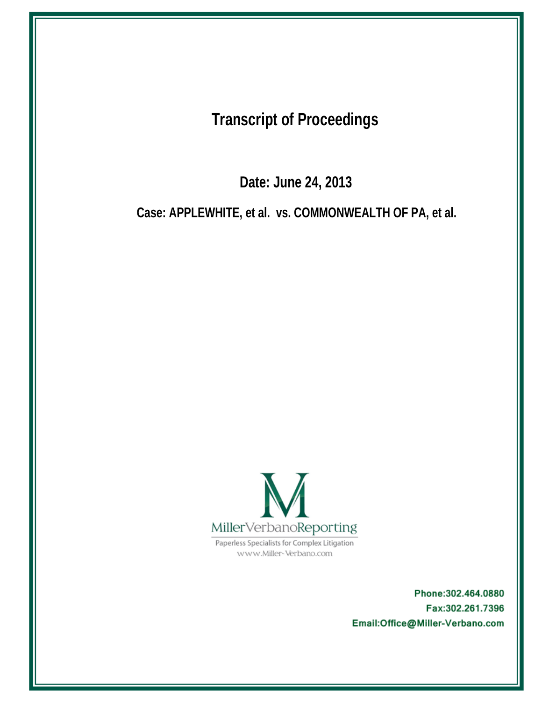**Transcript of Proceedings** 

Date: June 24, 2013

Case: APPLEWHITE, et al. vs. COMMONWEALTH OF PA, et al.



Paperless Specialists for Complex Litigation www.Miller-Verbano.com

> Phone: 302.464.0880 Fax:302.261.7396 Email:Office@Miller-Verbano.com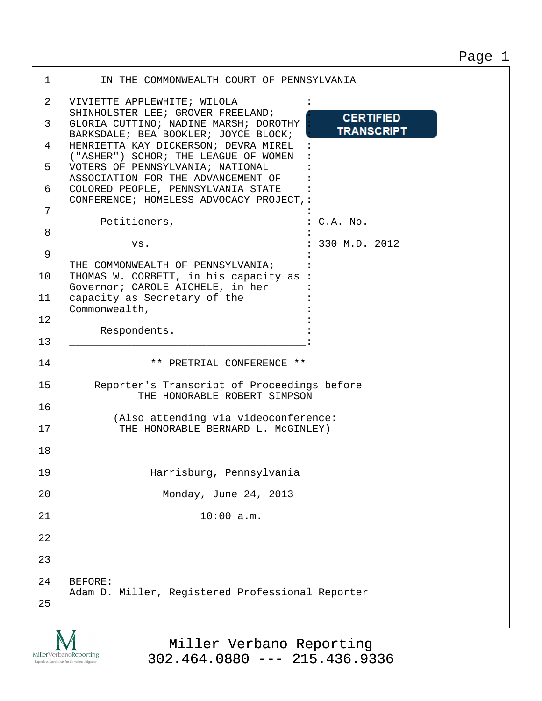| $\mathbf 1$ | IN THE COMMONWEALTH COURT OF PENNSYLVANIA                                                                        |                   |
|-------------|------------------------------------------------------------------------------------------------------------------|-------------------|
| 2           | VIVIETTE APPLEWHITE; WILOLA                                                                                      |                   |
| 3           | SHINHOLSTER LEE; GROVER FREELAND;<br>GLORIA CUTTINO; NADINE MARSH; DOROTHY                                       | <b>CERTIFIED</b>  |
| 4           | BARKSDALE; BEA BOOKLER; JOYCE BLOCK;<br>HENRIETTA KAY DICKERSON; DEVRA MIREL                                     | <b>TRANSCRIPT</b> |
| 5           | ("ASHER") SCHOR; THE LEAGUE OF WOMEN<br>VOTERS OF PENNSYLVANIA; NATIONAL                                         |                   |
|             | ASSOCIATION FOR THE ADVANCEMENT OF                                                                               |                   |
| 6           | COLORED PEOPLE, PENNSYLVANIA STATE<br>CONFERENCE; HOMELESS ADVOCACY PROJECT, :                                   |                   |
| 7           | Petitioners,                                                                                                     | $:C.A.$ No.       |
| 8           | VS.                                                                                                              | 330 M.D. 2012     |
| 9           |                                                                                                                  |                   |
| 10          | THE COMMONWEALTH OF PENNSYLVANIA;<br>THOMAS W. CORBETT, in his capacity as :<br>Governor; CAROLE AICHELE, in her |                   |
| 11          | capacity as Secretary of the                                                                                     |                   |
| 12          | Commonwealth,                                                                                                    |                   |
|             | Respondents.                                                                                                     |                   |
| 13          |                                                                                                                  |                   |
| 14          | ** PRETRIAL CONFERENCE **                                                                                        |                   |
| 15          | Reporter's Transcript of Proceedings before<br>THE HONORABLE ROBERT SIMPSON                                      |                   |
| 16          | (Also attending via videoconference:                                                                             |                   |
| 17          | THE HONORABLE BERNARD L. MCGINLEY)                                                                               |                   |
| 18          |                                                                                                                  |                   |
| 19          | Harrisburg, Pennsylvania                                                                                         |                   |
| 20          | Monday, June 24, 2013                                                                                            |                   |
| 21          | 10:00 a.m.                                                                                                       |                   |
| 22          |                                                                                                                  |                   |
| 23          |                                                                                                                  |                   |
| 24          | BEFORE:                                                                                                          |                   |
|             | Adam D. Miller, Registered Professional Reporter                                                                 |                   |
| 25          |                                                                                                                  |                   |
|             |                                                                                                                  |                   |

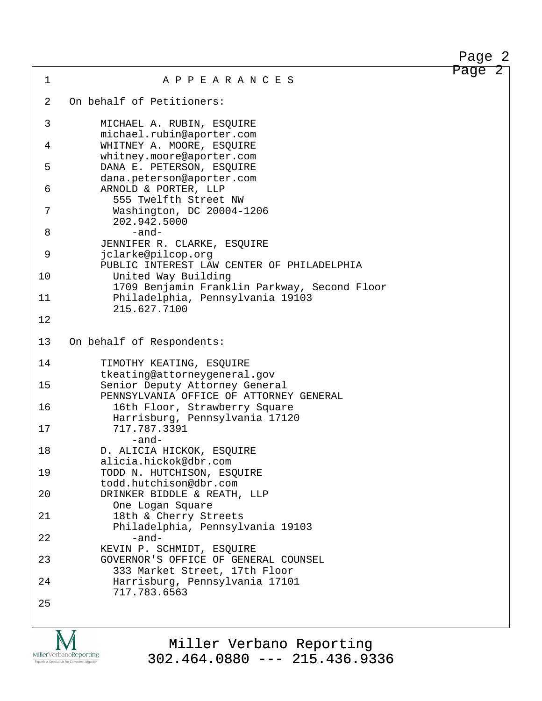| $\mathbf{1}$   | APPEARANCES                                                                                      | Page 2 |  |
|----------------|--------------------------------------------------------------------------------------------------|--------|--|
| $\overline{2}$ | On behalf of Petitioners:                                                                        |        |  |
| 3              | MICHAEL A. RUBIN, ESQUIRE<br>michael.rubin@aporter.com                                           |        |  |
| 4              | WHITNEY A. MOORE, ESQUIRE<br>whitney.moore@aporter.com                                           |        |  |
| 5              | DANA E. PETERSON, ESQUIRE                                                                        |        |  |
| 6              | dana.peterson@aporter.com<br>ARNOLD & PORTER, LLP<br>555 Twelfth Street NW                       |        |  |
| 7              | Washington, DC 20004-1206<br>202.942.5000                                                        |        |  |
| 8              | -and-                                                                                            |        |  |
| 9              | JENNIFER R. CLARKE, ESQUIRE<br>jclarke@pilcop.org                                                |        |  |
| 10             | PUBLIC INTEREST LAW CENTER OF PHILADELPHIA<br>United Way Building                                |        |  |
| 11             | 1709 Benjamin Franklin Parkway, Second Floor<br>Philadelphia, Pennsylvania 19103<br>215.627.7100 |        |  |
| 12             |                                                                                                  |        |  |
| 13             | On behalf of Respondents:                                                                        |        |  |
| 14             | TIMOTHY KEATING, ESQUIRE<br>tkeating@attorneygeneral.gov                                         |        |  |
| 15             | Senior Deputy Attorney General<br>PENNSYLVANIA OFFICE OF ATTORNEY GENERAL                        |        |  |
| 16             | 16th Floor, Strawberry Square<br>Harrisburg, Pennsylvania 17120                                  |        |  |
| 17             | 717.787.3391<br>-and-                                                                            |        |  |
| 18             | D. ALICIA HICKOK, ESQUIRE<br>alicia.hickok@dbr.com                                               |        |  |
| 19             | TODD N. HUTCHISON, ESQUIRE<br>todd.hutchison@dbr.com                                             |        |  |
| 20             | DRINKER BIDDLE & REATH, LLP<br>One Logan Square                                                  |        |  |
| 21             | 18th & Cherry Streets<br>Philadelphia, Pennsylvania 19103                                        |        |  |
| 22             | $-$ and $-$<br>KEVIN P. SCHMIDT, ESQUIRE                                                         |        |  |
| 23             | GOVERNOR'S OFFICE OF GENERAL COUNSEL<br>333 Market Street, 17th Floor                            |        |  |
| 24             | Harrisburg, Pennsylvania 17101<br>717.783.6563                                                   |        |  |
| 25             |                                                                                                  |        |  |
|                |                                                                                                  |        |  |

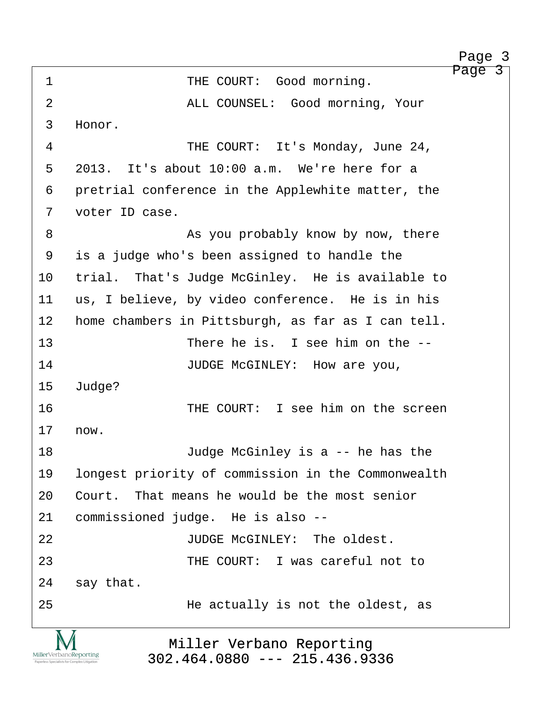http://www.yeslaw.net/help

<span id="page-3-0"></span>

|                | Page<br>3                                          |
|----------------|----------------------------------------------------|
| 1              | THE COURT: Good morning.                           |
| 2              | ALL COUNSEL: Good morning, Your                    |
| $\mathfrak{Z}$ | Honor.                                             |
| 4              | THE COURT: It's Monday, June 24,                   |
| 5              | 2013. It's about 10:00 a.m. We're here for a       |
| 6              | pretrial conference in the Applewhite matter, the  |
| 7              | voter ID case.                                     |
| 8              | As you probably know by now, there                 |
| 9              | is a judge who's been assigned to handle the       |
| 10             | trial. That's Judge McGinley. He is available to   |
| 11             | us, I believe, by video conference. He is in his   |
| 12             | home chambers in Pittsburgh, as far as I can tell. |
| 13             | There he is. I see him on the --                   |
| 14             | JUDGE McGINLEY: How are you,                       |
| 15             | Judge?                                             |
| 16             | THE COURT: I see him on the screen                 |
| 17             | now.                                               |
| 18             | Judge McGinley is a -- he has the                  |
| 19             | longest priority of commission in the Commonwealth |
| 20             | Court. That means he would be the most senior      |
| 21             | commissioned judge. He is also --                  |
| 22             | JUDGE MCGINLEY: The oldest.                        |
| 23             | THE COURT: I was careful not to                    |
| 24             | say that.                                          |
| 25             | He actually is not the oldest, as                  |
| $\overline{M}$ |                                                    |

Miller Verbano Reporting [302.464.0880 --- 215.436.9336](http://www.miller-verbano.com)

M  $\underset{\text{Paperless Specialists for Complex Litigation}}{\text{MillerVerbanoReporting}}$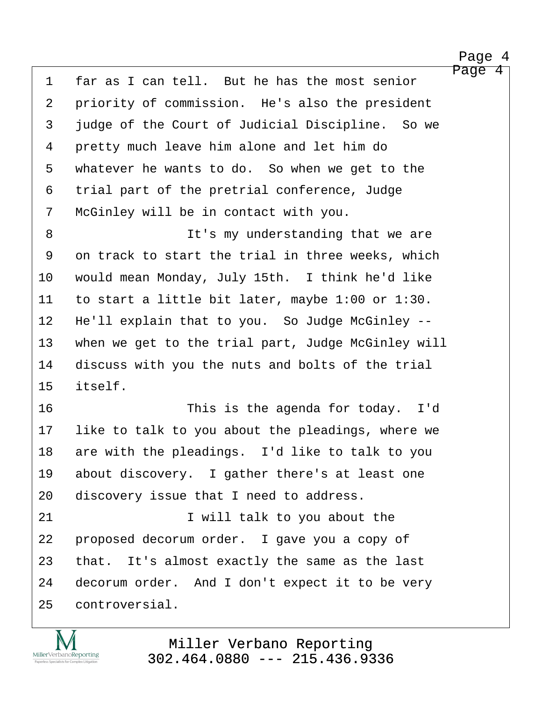Page 4 Page 4

<span id="page-4-0"></span>1 far as I can tell. But he has the most senior 2 priority of commission. He's also the president 3 judge of the Court of Judicial Discipline. So we 4 pretty much leave him alone and let him do 5 whatever he wants to do. So when we get to the 6 trial part of the pretrial conference, Judge 7 McGinley will be in contact with you. ·8· · · · · · · · · It's my understanding that we are 9 on track to start the trial in three weeks, which 10 would mean Monday, July 15th. I think he'd like 11 to start a little bit later, maybe  $1:00$  or  $1:30$ . 12 He'll explain that to you. So Judge McGinley --13 when we get to the trial part, Judge McGinley will 14 discuss with you the nuts and bolts of the trial 15 itself. 16 · · · · · · · · · · · · This is the agenda for today. I'd 17 like to talk to you about the pleadings, where we 18 are with the pleadings. I'd like to talk to you 19 about discovery. I gather there's at least one 20 discovery issue that I need to address. 21 **I** will talk to you about the 22 proposed decorum order. I gave you a copy of 23 that. It's almost exactly the same as the last 24 decorum order. And I don't expect it to be very 25 controversial.

http://www.yeslaw.net/help

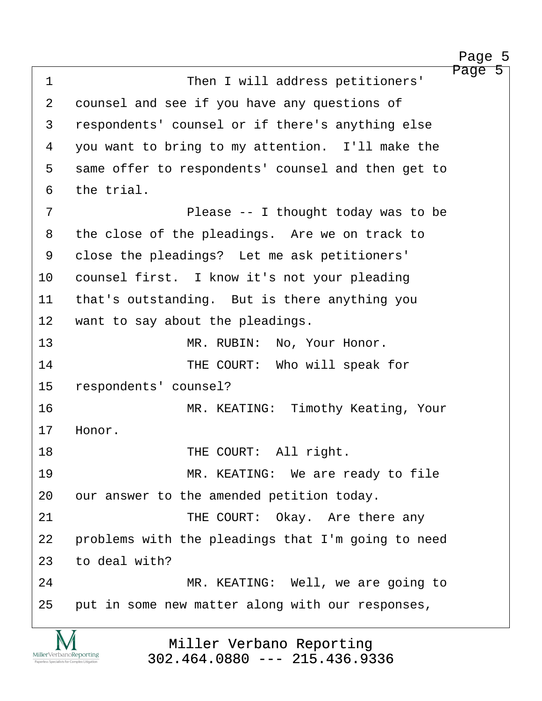http://www.yeslaw.net/help

<span id="page-5-0"></span>Page 5 1 · · · · · · · · · · Then I will address petitioners' 2 counsel and see if you have any questions of 3 respondents' counsel or if there's anything else 4 you want to bring to my attention. I'll make the 5 same offer to respondents' counsel and then get to 6 the trial. ·7· · · · · · · · · Please -- I thought today was to be 8 the close of the pleadings. Are we on track to 9 close the pleadings? Let me ask petitioners' 10 counsel first. I know it's not your pleading 11 that's outstanding. But is there anything you 12 want to say about the pleadings. 13 **MR. RUBIN:** No, Your Honor. 14 THE COURT: Who will speak for 15 respondents' counsel? 16 · · · · · · · · · · · · MR. KEATING: Timothy Keating, Your 17 Honor. 18 · · · · · · · · · · · · THE COURT: All right. 19· · · · · · · · · MR. KEATING:· We are ready to file 20 our answer to the amended petition today. 21 **THE COURT:** Okay. Are there any 22  $-$  problems with the pleadings that I'm going to need 23 to deal with? 24· · · · · · · · · MR. KEATING:· Well, we are going to 25 put in some new matter along with our responses,

> Miller Verbano Reporting [302.464.0880 --- 215.436.9336](http://www.miller-verbano.com)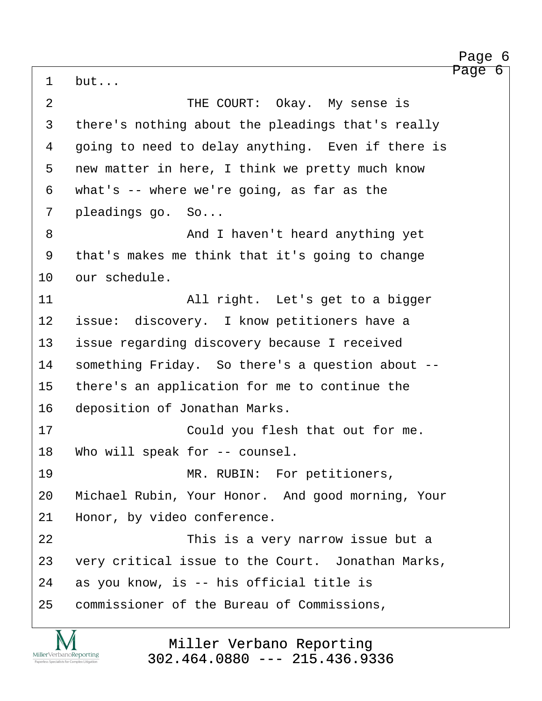http://www.yeslaw.net/help

Page 6

<span id="page-6-0"></span>1 but... 2 THE COURT: Okay. My sense is 3 there's nothing about the pleadings that's really 4 · going to need to delay anything. Even if there is 5 new matter in here, I think we pretty much know 6 what's  $-$  where we're going, as far as the 7 pleadings go. So... 8 · · · · · · · · · · · · · · And I haven't heard anything yet 9 that's makes me think that it's going to change 10 our schedule. 11· · · · · · · · · All right.· Let's get to a bigger 12 issue: discovery. I know petitioners have a 13 issue regarding discovery because I received 14 something Friday. So there's a question about --15 there's an application for me to continue the 16 deposition of Jonathan Marks. 17 · · · · · · Could you flesh that out for me. 18 Who will speak for -- counsel. 19· · · · · · · · · MR. RUBIN:· For petitioners, 20 Michael Rubin, Your Honor. And good morning, Your 21 Honor, by video conference. 22· · · · · · · · · This is a very narrow issue but a 23 very critical issue to the Court. Jonathan Marks, 24 as you know, is -- his official title is 25 commissioner of the Bureau of Commissions,

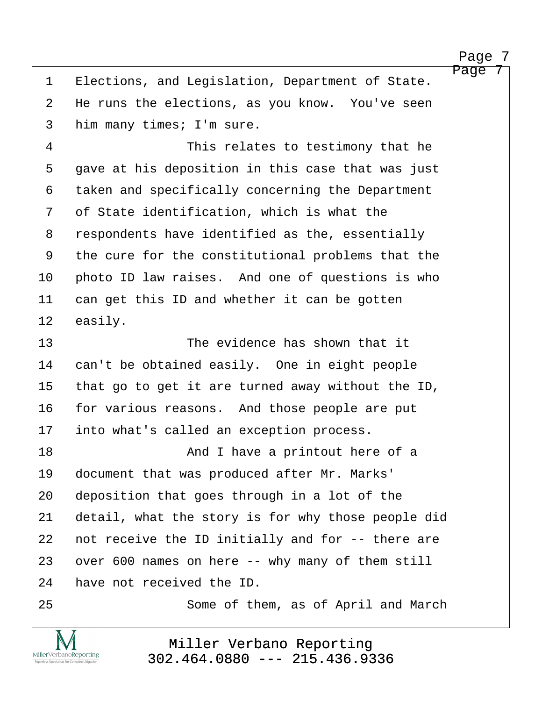http://www.yeslaw.net/help

Page

<span id="page-7-0"></span>1 Elections, and Legislation, Department of State. 2 He runs the elections, as you know. You've seen 3 him many times; I'm sure.

4 This relates to testimony that he 5 gave at his deposition in this case that was just 6 taken and specifically concerning the Department 7 of State identification, which is what the 8 respondents have identified as the, essentially 9 the cure for the constitutional problems that the 10 photo ID law raises. And one of questions is who 11 can get this ID and whether it can be gotten 12 easily.

13 **13** The evidence has shown that it 14 can't be obtained easily. One in eight people 15 that go to get it are turned away without the ID, 16 for various reasons. And those people are put 17 into what's called an exception process.

18· · · · · · · · · And I have a printout here of a 19 document that was produced after Mr. Marks' 20 deposition that goes through in a lot of the 21 detail, what the story is for why those people did 22 not receive the ID initially and for -- there are 23 over 600 names on here -- why many of them still 24 have not received the ID.

MillerVerbanoReporting

25 · · · · · · Some of them, as of April and March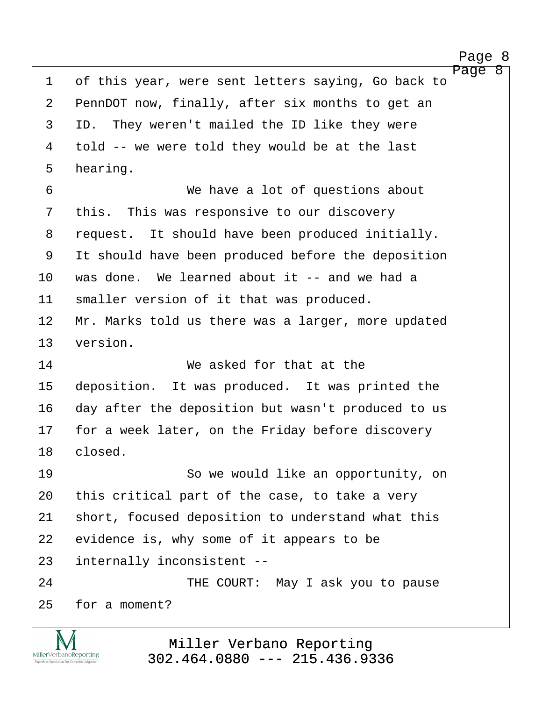http://www.yeslaw.net/help

<span id="page-8-0"></span>Page 8 1 of this year, were sent letters saying, Go back to 2 PennDOT now, finally, after six months to get an 3 ID. They weren't mailed the ID like they were 4 told -- we were told they would be at the last 5 hearing. ·6· · · · · · · · · We have a lot of questions about 7 this. This was responsive to our discovery 8 request. It should have been produced initially. 9 It should have been produced before the deposition 10 was done. We learned about it -- and we had a 11 smaller version of it that was produced. 12 Mr. Marks told us there was a larger, more updated 13 version. 14· · · · · · · · · We asked for that at the 15 deposition. It was produced. It was printed the 16 day after the deposition but wasn't produced to us 17 for a week later, on the Friday before discovery 18 closed. 19 · · · · · · · So we would like an opportunity, on 20 this critical part of the case, to take a very 21 short, focused deposition to understand what this 22 evidence is, why some of it appears to be 23 internally inconsistent --24· · · · · · · · · THE COURT:· May I ask you to pause 25 for a moment?

> Miller Verbano Reporting [302.464.0880 --- 215.436.9336](http://www.miller-verbano.com)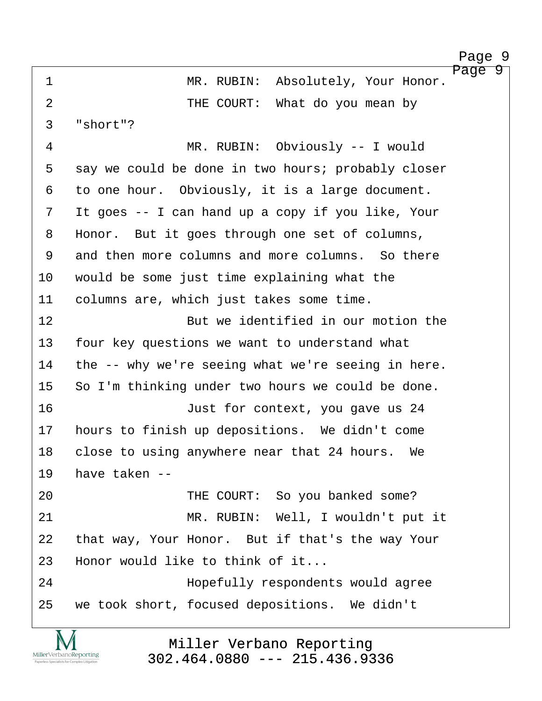http://www.yeslaw.net/help

<span id="page-9-0"></span>

| $\mathbf 1$    | Page 9<br>Absolutely, Your Honor.<br>MR. RUBIN:    |
|----------------|----------------------------------------------------|
| $\overline{2}$ | THE COURT: What do you mean by                     |
| $\mathsf{3}$   | "short"?                                           |
| $\overline{4}$ | MR. RUBIN: Obviously -- I would                    |
| 5              | say we could be done in two hours; probably closer |
| 6              | to one hour. Obviously, it is a large document.    |
| 7              | It goes -- I can hand up a copy if you like, Your  |
| 8              | Honor. But it goes through one set of columns,     |
| 9              | and then more columns and more columns. So there   |
| 10             | would be some just time explaining what the        |
| 11             | columns are, which just takes some time.           |
| 12             | But we identified in our motion the                |
| 13             | four key questions we want to understand what      |
| 14             | the -- why we're seeing what we're seeing in here. |
| 15             | So I'm thinking under two hours we could be done.  |
| 16             | Just for context, you gave us 24                   |
| 17             | hours to finish up depositions. We didn't come     |
| 18             | close to using anywhere near that 24 hours.<br>We  |
| 19             | have taken --                                      |
| 20             | THE COURT: So you banked some?                     |
| 21             | MR. RUBIN: Well, I wouldn't put it                 |
| 22             | that way, Your Honor. But if that's the way Your   |
| 23             | Honor would like to think of it                    |
| 24             | Hopefully respondents would agree                  |
| 25             | we took short, focused depositions. We didn't      |
|                |                                                    |

Miller Verbano Reporting [302.464.0880 --- 215.436.9336](http://www.miller-verbano.com)

M  $\underset{\text{Paperless Specialists for Complex Litigation}}{\text{MillerVerbanoReporting}}$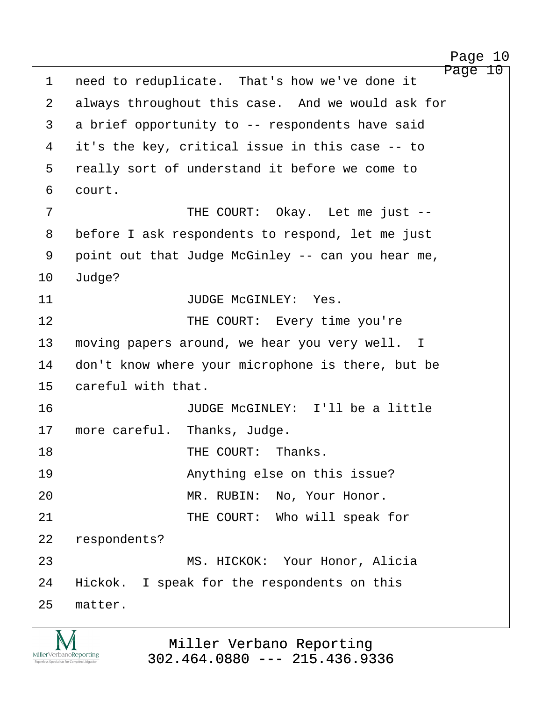http://www.yeslaw.net/help

<span id="page-10-0"></span>Page 10 1 need to reduplicate. That's how we've done it 2 always throughout this case. And we would ask for 3 a brief opportunity to -- respondents have said 4 it's the key, critical issue in this case -- to 5 really sort of understand it before we come to 6 court. ·7· · · · · · · · · THE COURT:· Okay.· Let me just -- 8 before I ask respondents to respond, let me just 9 point out that Judge McGinley -- can you hear me, 10 Judge? 11 **· · · · · · · · · · · · · JUDGE McGINLEY:** Yes. 12 THE COURT: Every time you're 13 moving papers around, we hear you very well. I 14 don't know where your microphone is there, but be 15 careful with that. 16· · · · · · · · · JUDGE McGINLEY:· I'll be a little 17 more careful. Thanks, Judge. 18 · · · · · · · · · · · · · THE COURT: · Thanks. 19 · · · · · · · · · Anything else on this issue? 20 MR. RUBIN: No, Your Honor. 21 **THE COURT:** Who will speak for 22 respondents? 23· · · · · · · · · MS. HICKOK:· Your Honor, Alicia 24 Hickok. I speak for the respondents on this 25 matter.

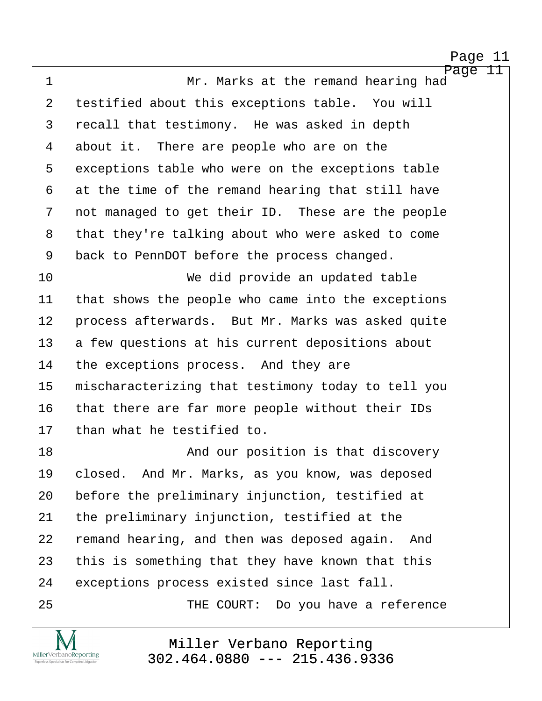http://www.yeslaw.net/help

<span id="page-11-0"></span>Page 11 1 · · · · · · · · · · · · Mr. Marks at the remand hearing had 2 testified about this exceptions table. You will 3 recall that testimony. He was asked in depth 4 about it. There are people who are on the 5 exceptions table who were on the exceptions table 6 at the time of the remand hearing that still have 7 ont managed to get their ID. These are the people 8 that they're talking about who were asked to come 9 back to PennDOT before the process changed. 10· · · · · · · · · We did provide an updated table 11 that shows the people who came into the exceptions 12 · process afterwards. But Mr. Marks was asked quite 13 a few questions at his current depositions about 14 the exceptions process. And they are 15 mischaracterizing that testimony today to tell you 16 that there are far more people without their IDs 17 than what he testified to. 18 · · · · · · · · · · · · · And our position is that discovery 19 closed. And Mr. Marks, as you know, was deposed 20 before the preliminary injunction, testified at 21 the preliminary injunction, testified at the 22 remand hearing, and then was deposed again. And 23 this is something that they have known that this 24 exceptions process existed since last fall. 25 THE COURT: Do you have a reference

> Miller Verbano Reporting [302.464.0880 --- 215.436.9336](http://www.miller-verbano.com)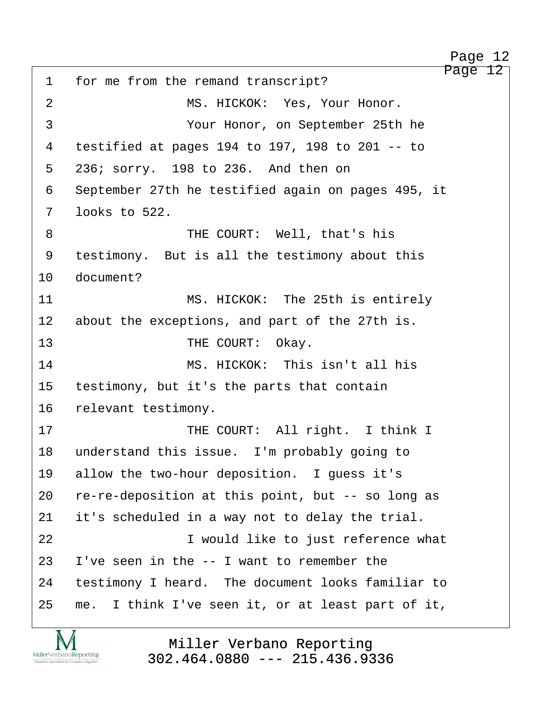<span id="page-12-0"></span>Page 12 1 for me from the remand transcript? 2 MS. HICKOK: Yes, Your Honor. 3 · · · · · · · · · Your Honor, on September 25th he ·4· ·testified at pages 194 to 197, 198 to 201 -- to 5 236; sorry. 198 to 236. And then on 6 September 27th he testified again on pages 495, it 7 looks to 522. 8 · · · · · · · · · · THE COURT: Well, that's his 9 testimony. But is all the testimony about this 10 document? 11 MS. HICKOK: The 25th is entirely 12 about the exceptions, and part of the 27th is. 13 THE COURT: Okay. 14· · · · · · · · · MS. HICKOK:· This isn't all his 15 testimony, but it's the parts that contain 16 relevant testimony. 17 · · · · · · · · · THE COURT: All right. I think I 18 understand this issue. I'm probably going to 19 allow the two-hour deposition. I guess it's 20 re-re-deposition at this point, but -- so long as 21 it's scheduled in a way not to delay the trial. 22· · · · · · · · · I would like to just reference what 23 I've seen in the  $-$ - I want to remember the 24 testimony I heard. The document looks familiar to 25 me. I think I've seen it, or at least part of it,

MillerVerbanoReporting

Miller Verbano Reporting [302.464.0880 --- 215.436.9336](http://www.miller-verbano.com) Page 12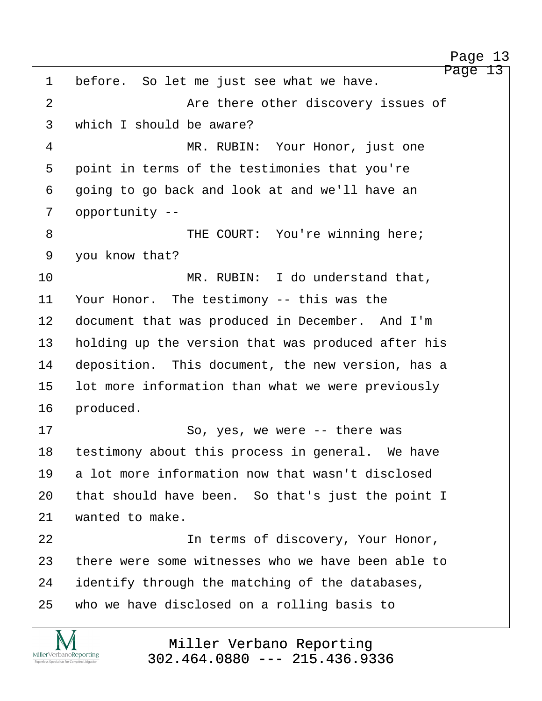http://www.yeslaw.net/help

<span id="page-13-0"></span>Page 13 1 before. So let me just see what we have. 2 and there other discovery issues of 3 which I should be aware? ·4· · · · · · · · · MR. RUBIN:· Your Honor, just one 5 point in terms of the testimonies that you're 6 going to go back and look at and we'll have an 7 opportunity --8 THE COURT: You're winning here; 9 you know that? 10 **MR. RUBIN:** I do understand that, 11 Your Honor. The testimony -- this was the 12 document that was produced in December. And I'm 13 · holding up the version that was produced after his 14 deposition. This document, the new version, has a 15 lot more information than what we were previously 16 produced. 17 · · · · · · · So, yes, we were -- there was 18 testimony about this process in general. We have 19 a lot more information now that wasn't disclosed 20 that should have been. So that's just the point I 21 vanted to make. 22· · · · · · · · · In terms of discovery, Your Honor, 23 there were some witnesses who we have been able to 24 identify through the matching of the databases, 25 who we have disclosed on a rolling basis to

MillerVerbanoReporting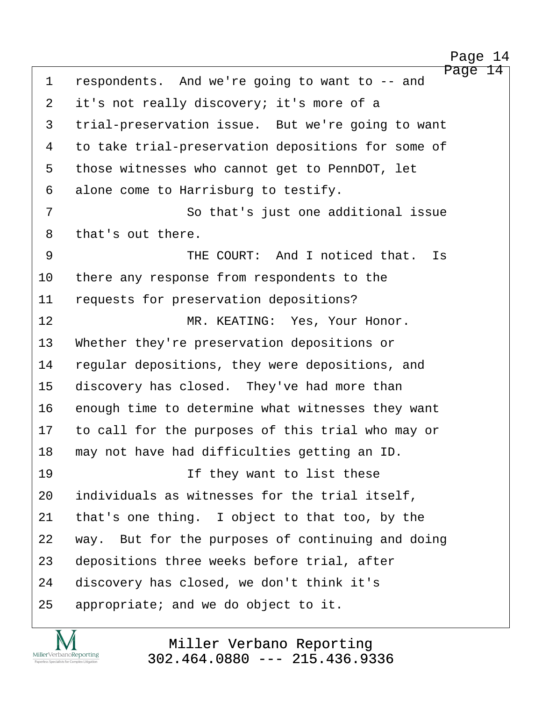http://www.yeslaw.net/help

<span id="page-14-0"></span>Page 14 1 respondents. And we're going to want to -- and 2 it's not really discovery; it's more of a 3 trial-preservation issue. But we're going to want 4 to take trial-preservation depositions for some of 5 those witnesses who cannot get to PennDOT, let 6 alone come to Harrisburg to testify. 7 So that's just one additional issue 8 that's out there. 9 · · · · · · · · · THE COURT: And I noticed that. Is 10 there any response from respondents to the 11 requests for preservation depositions? 12 MR. KEATING: Yes, Your Honor. 13 Whether they're preservation depositions or 14 regular depositions, they were depositions, and 15 discovery has closed. They've had more than 16 enough time to determine what witnesses they want 17 to call for the purposes of this trial who may or 18 may not have had difficulties getting an ID. 19 and 19 and 16 If they want to list these 20 individuals as witnesses for the trial itself, 21 that's one thing. I object to that too, by the 22 way. But for the purposes of continuing and doing 23 depositions three weeks before trial, after 24 discovery has closed, we don't think it's 25 appropriate; and we do object to it.

MillerVerbanoReporting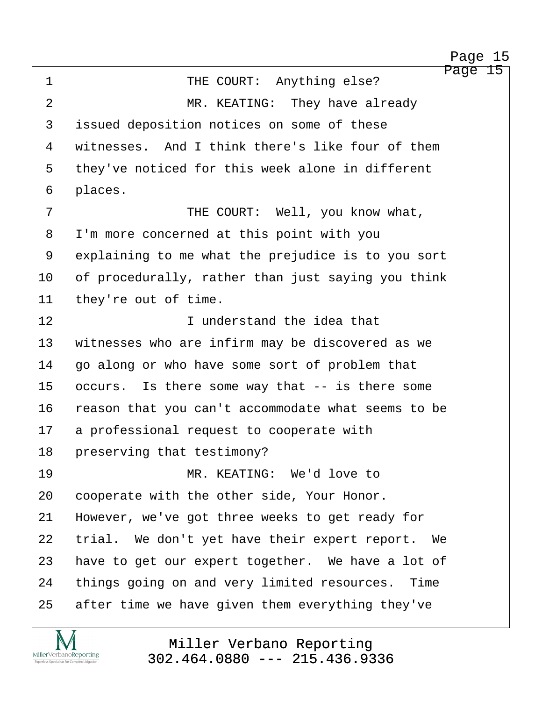http://www.yeslaw.net/help

<span id="page-15-0"></span>Page 15 ·1· · · · · · · · · THE COURT:· Anything else? 2 MR. KEATING: They have already 3 issued deposition notices on some of these 4 vitnesses. And I think there's like four of them 5 they've noticed for this week alone in different 6 places. 7 THE COURT: Well, you know what, 8 I'm more concerned at this point with you 9 explaining to me what the prejudice is to you sort 10 of procedurally, rather than just saying you think 11 they're out of time. 12· · · · · · · · · I understand the idea that 13 • witnesses who are infirm may be discovered as we 14 · go along or who have some sort of problem that 15 occurs. Is there some way that -- is there some 16 reason that you can't accommodate what seems to be 17 a professional request to cooperate with 18 preserving that testimony? 19· · · · · · · · · MR. KEATING:· We'd love to 20 cooperate with the other side, Your Honor. 21 However, we've got three weeks to get ready for 22 trial. We don't yet have their expert report. We 23 have to get our expert together. We have a lot of 24 things going on and very limited resources. Time 25 after time we have given them everything they've

MillerVerbanoReporting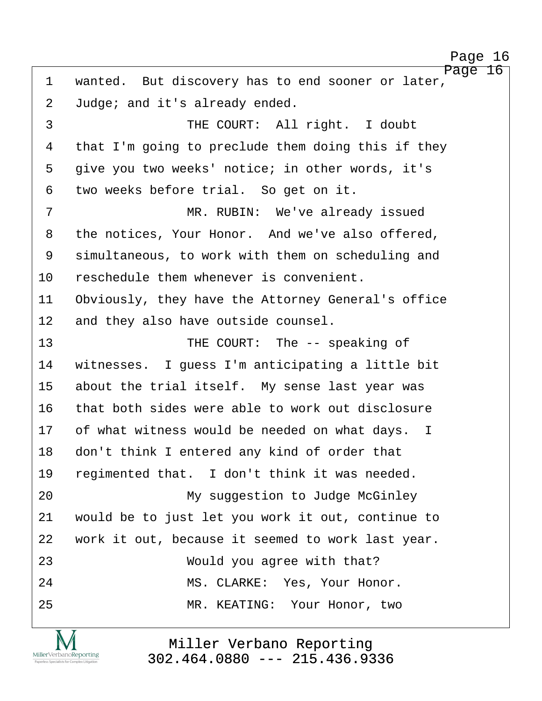http://www.yeslaw.net/help

<span id="page-16-0"></span>Page 16 1 wanted. But discovery has to end sooner or later, 2 Judge; and it's already ended. ·3· · · · · · · · · THE COURT:· All right.· I doubt 4 that I'm going to preclude them doing this if they 5 give you two weeks' notice; in other words, it's 6 two weeks before trial. So get on it. ·7· · · · · · · · · MR. RUBIN:· We've already issued 8 the notices, Your Honor. And we've also offered, 9 simultaneous, to work with them on scheduling and 10 reschedule them whenever is convenient. 11 Obviously, they have the Attorney General's office 12 and they also have outside counsel. 13· · · · · · · · · THE COURT:· The -- speaking of 14 vitnesses. I quess I'm anticipating a little bit 15 about the trial itself. My sense last year was 16 that both sides were able to work out disclosure 17 of what witness would be needed on what days. I 18 don't think I entered any kind of order that 19 regimented that. I don't think it was needed. 20· · · · · · · · · My suggestion to Judge McGinley 21 would be to just let you work it out, continue to 22 vork it out, because it seemed to work last year. 23· · · · · · · · · Would you agree with that? 24 MS. CLARKE: Yes, Your Honor. 25· · · · · · · · · MR. KEATING:· Your Honor, two

> Miller Verbano Reporting [302.464.0880 --- 215.436.9336](http://www.miller-verbano.com)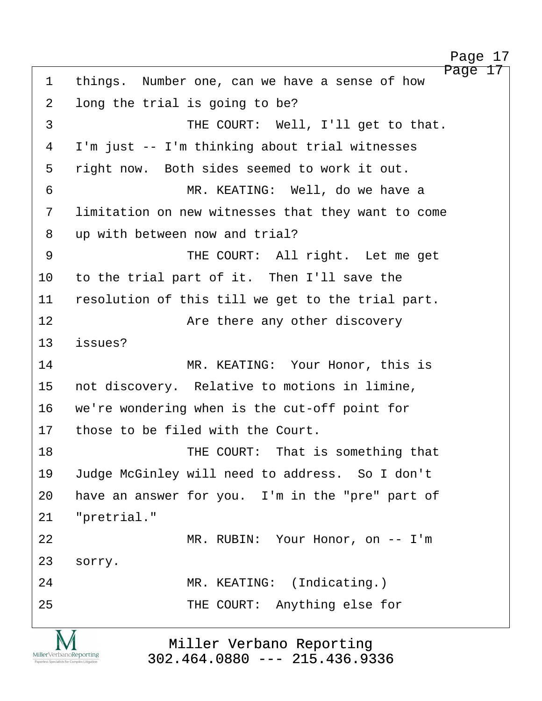http://www.yeslaw.net/help

<span id="page-17-0"></span>Page 17 1 things. Number one, can we have a sense of how 2 long the trial is going to be? 3 THE COURT: Well, I'll get to that. 4 I'm just -- I'm thinking about trial witnesses 5 right now. Both sides seemed to work it out. ·6· · · · · · · · · MR. KEATING:· Well, do we have a 7 Iimitation on new witnesses that they want to come 8 up with between now and trial? 9 · · · · · · · · · THE COURT: All right. Let me get 10 to the trial part of it. Then I'll save the 11 resolution of this till we get to the trial part. 12 **12** *Are there any other discovery* 13 issues? 14· · · · · · · · · MR. KEATING:· Your Honor, this is 15 not discovery. Relative to motions in limine, 16 we're wondering when is the cut-off point for 17 those to be filed with the Court. 18 **• THE COURT:** That is something that 19 Judge McGinley will need to address. So I don't 20 have an answer for you. I'm in the "pre" part of 21 "pretrial." 22 MR. RUBIN: Your Honor, on -- I'm 23 sorry. 24 MR. KEATING: (Indicating.) 25 THE COURT: Anything else for

> Miller Verbano Reporting [302.464.0880 --- 215.436.9336](http://www.miller-verbano.com)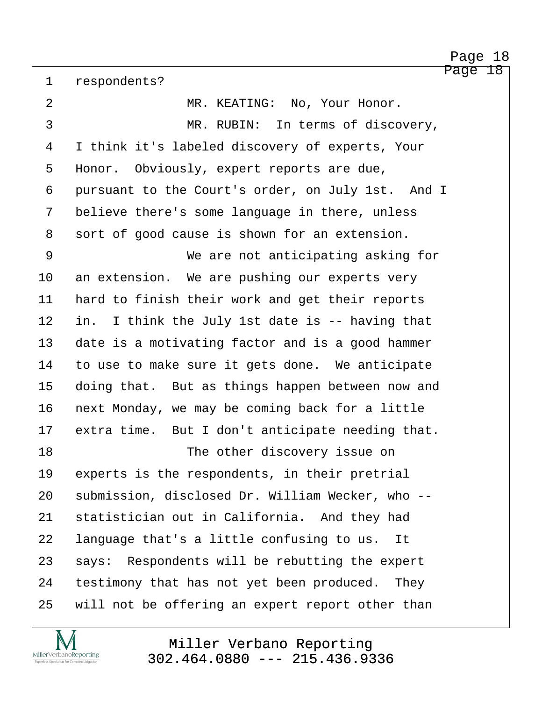http://www.yeslaw.net/help

<span id="page-18-0"></span>1 respondents? 2 NR. KEATING: No, Your Honor. 3 and MR. RUBIN: In terms of discovery, 4 I think it's labeled discovery of experts, Your 5 Honor. Obviously, expert reports are due, 6 pursuant to the Court's order, on July 1st. And I 7 believe there's some language in there, unless 8 sort of good cause is shown for an extension. ·9· · · · · · · · · We are not anticipating asking for 10 an extension. We are pushing our experts very 11 hard to finish their work and get their reports 12 in. I think the July 1st date is -- having that 13 date is a motivating factor and is a good hammer 14 to use to make sure it gets done. We anticipate 15 doing that. But as things happen between now and 16 next Monday, we may be coming back for a little 17 extra time. But I don't anticipate needing that. 18 **18** The other discovery issue on 19 experts is the respondents, in their pretrial 20 submission, disclosed Dr. William Wecker, who --21 statistician out in California. And they had 22 language that's a little confusing to us. It 23 says: Respondents will be rebutting the expert 24 testimony that has not yet been produced. They 25 will not be offering an expert report other than

MillerVerbanoReporting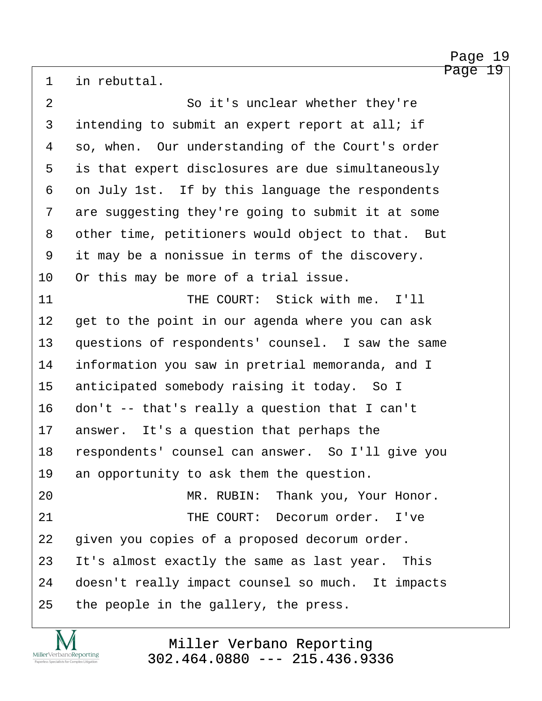http://www.yeslaw.net/help

<span id="page-19-0"></span>1 in rebuttal.

| $\overline{2}$ | So it's unclear whether they're                   |
|----------------|---------------------------------------------------|
| 3              | intending to submit an expert report at all; if   |
| 4              | so, when. Our understanding of the Court's order  |
| 5              | is that expert disclosures are due simultaneously |
| 6              | on July 1st. If by this language the respondents  |
| 7              | are suggesting they're going to submit it at some |
| 8              | other time, petitioners would object to that. But |
| 9              | it may be a nonissue in terms of the discovery.   |
| 10             | Or this may be more of a trial issue.             |
| 11             | THE COURT: Stick with me. I'll                    |
| 12             | get to the point in our agenda where you can ask  |
| 13             | questions of respondents' counsel. I saw the same |
| 14             | information you saw in pretrial memoranda, and I  |
| 15             | anticipated somebody raising it today. So I       |
| 16             | don't -- that's really a question that I can't    |
| 17             | answer. It's a question that perhaps the          |
| 18             | respondents' counsel can answer. So I'll give you |
| 19             | an opportunity to ask them the question.          |
| 20             | MR. RUBIN: Thank you, Your Honor.                 |
| 21             | THE COURT: Decorum order. I've                    |
| 22             | given you copies of a proposed decorum order.     |
| 23             | It's almost exactly the same as last year. This   |
| 24             | doesn't really impact counsel so much. It impacts |
| 25             | the people in the gallery, the press.             |

IVI  $\underset{\text{Paperless Specialists for Complex Litigation}}{\text{MillerVerbanoReporting}}$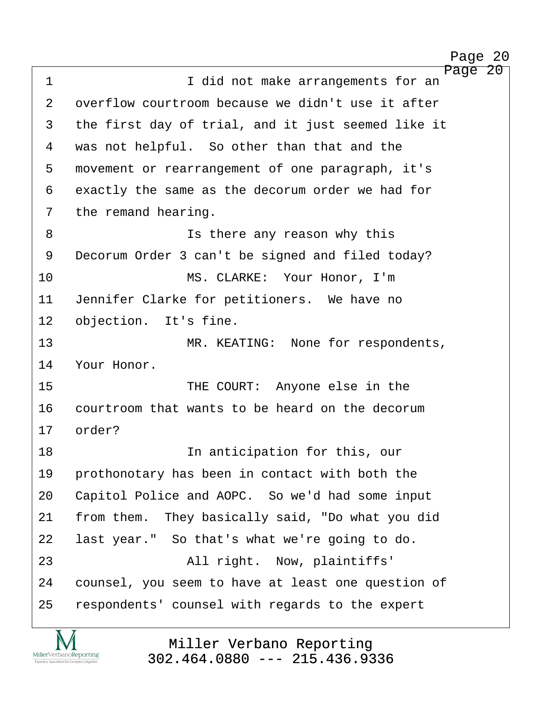http://www.yeslaw.net/help

<span id="page-20-0"></span>

| $\mathbf 1$    | Page 20<br>I did not make arrangements for an      |
|----------------|----------------------------------------------------|
| $\overline{2}$ | overflow courtroom because we didn't use it after  |
| 3              | the first day of trial, and it just seemed like it |
| 4              | was not helpful. So other than that and the        |
| 5              | movement or rearrangement of one paragraph, it's   |
| 6              | exactly the same as the decorum order we had for   |
| 7              | the remand hearing.                                |
| 8              | Is there any reason why this                       |
| 9              | Decorum Order 3 can't be signed and filed today?   |
| 10             | MS. CLARKE: Your Honor, I'm                        |
| 11             | Jennifer Clarke for petitioners. We have no        |
| 12             | objection. It's fine.                              |
| 13             | MR. KEATING: None for respondents,                 |
| 14             | Your Honor.                                        |
| 15             | THE COURT: Anyone else in the                      |
| 16             | courtroom that wants to be heard on the decorum    |
| 17             | order?                                             |
| 18             | In anticipation for this, our                      |
| 19             | prothonotary has been in contact with both the     |
| 20             | Capitol Police and AOPC. So we'd had some input    |
| 21             | from them. They basically said, "Do what you did   |
| 22             | last year." So that's what we're going to do.      |
| 23             | All right. Now, plaintiffs'                        |
| 24             | counsel, you seem to have at least one question of |
| 25             | respondents' counsel with regards to the expert    |
|                |                                                    |

Miller Verbano Reporting [302.464.0880 --- 215.436.9336](http://www.miller-verbano.com)

M  $\underset{\text{Paperless Specialists for Complex Litigation}}{\text{MillerVerbanoReporting}}$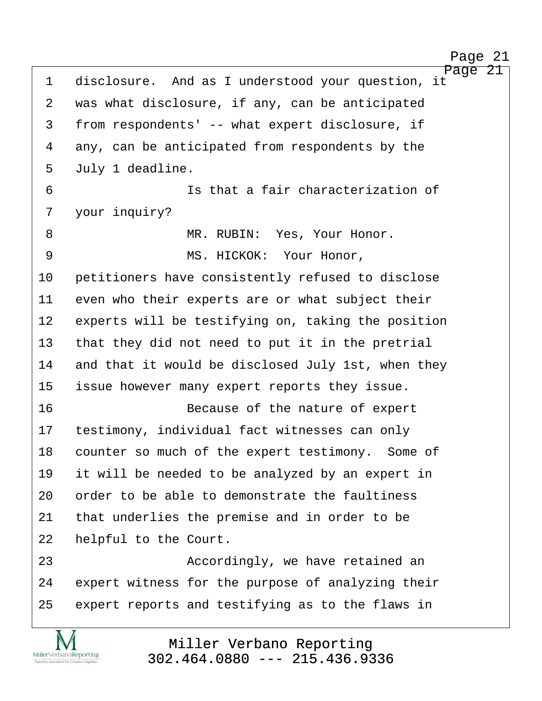http://www.yeslaw.net/help

<span id="page-21-0"></span>

| $\mathbf 1$    | 21<br>Page<br>disclosure. And as I understood your question, it |
|----------------|-----------------------------------------------------------------|
| $\overline{2}$ | was what disclosure, if any, can be anticipated                 |
| 3              | from respondents' -- what expert disclosure, if                 |
| 4              | any, can be anticipated from respondents by the                 |
| 5              | July 1 deadline.                                                |
| 6              | Is that a fair characterization of                              |
| 7              | your inquiry?                                                   |
| 8              | MR. RUBIN: Yes, Your Honor.                                     |
| 9              | MS. HICKOK: Your Honor,                                         |
| 10             | petitioners have consistently refused to disclose               |
| 11             | even who their experts are or what subject their                |
| 12             | experts will be testifying on, taking the position              |
| 13             | that they did not need to put it in the pretrial                |
| 14             | and that it would be disclosed July 1st, when they              |
| 15             | issue however many expert reports they issue.                   |
| 16             | Because of the nature of expert                                 |
| 17             | testimony, individual fact witnesses can only                   |
| 18             | counter so much of the expert testimony. Some of                |
| 19             | it will be needed to be analyzed by an expert in                |
| 20             | order to be able to demonstrate the faultiness                  |
| 21             | that underlies the premise and in order to be                   |
| 22             | helpful to the Court.                                           |
| 23             | Accordingly, we have retained an                                |
| 24             | expert witness for the purpose of analyzing their               |
| 25             | expert reports and testifying as to the flaws in                |
|                |                                                                 |

Miller Verbano Reporting [302.464.0880 --- 215.436.9336](http://www.miller-verbano.com)

M  $\underset{\text{Paperless Specialists for Complex Litigation}}{\text{MillerVerbanoReporting}}$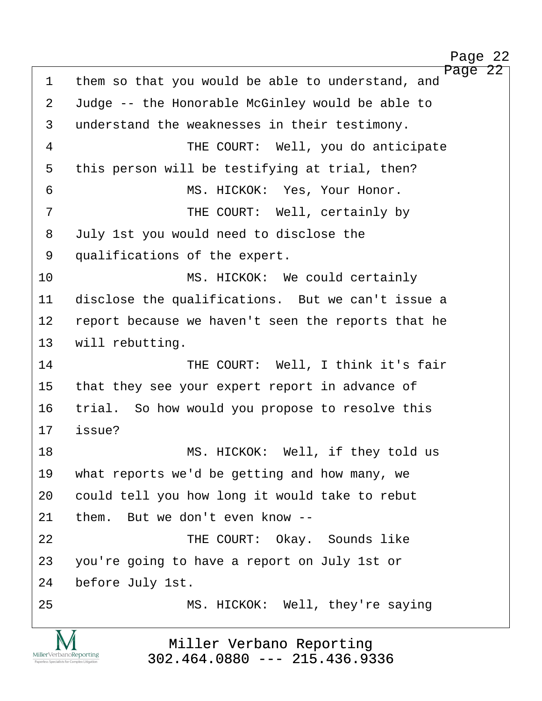<span id="page-22-0"></span>Page 22 1 them so that you would be able to understand, and 2 Judge -- the Honorable McGinley would be able to 3 understand the weaknesses in their testimony. 4 THE COURT: Well, you do anticipate 5 this person will be testifying at trial, then? ·6· · · · · · · · · MS. HICKOK:· Yes, Your Honor. ·7· · · · · · · · · THE COURT:· Well, certainly by 8 July 1st you would need to disclose the 9 qualifications of the expert. 10 MS. HICKOK: We could certainly 11 disclose the qualifications. But we can't issue a 12 report because we haven't seen the reports that he 13 will rebutting. 14· · · · · · · · · THE COURT:· Well, I think it's fair 15 that they see your expert report in advance of 16 trial. So how would you propose to resolve this Page 22

18· · · · · · · · · MS. HICKOK:· Well, if they told us 19 what reports we'd be getting and how many, we 20 could tell you how long it would take to rebut 21 them. But we don't even know --

22· · · · · · · · · THE COURT:· Okay.· Sounds like 23 you're going to have a report on July 1st or 24 before July 1st.

MillerVerbanoReporting

17 *issue?* 

25 · · · · · · · · · MS. HICKOK: Well, they're saying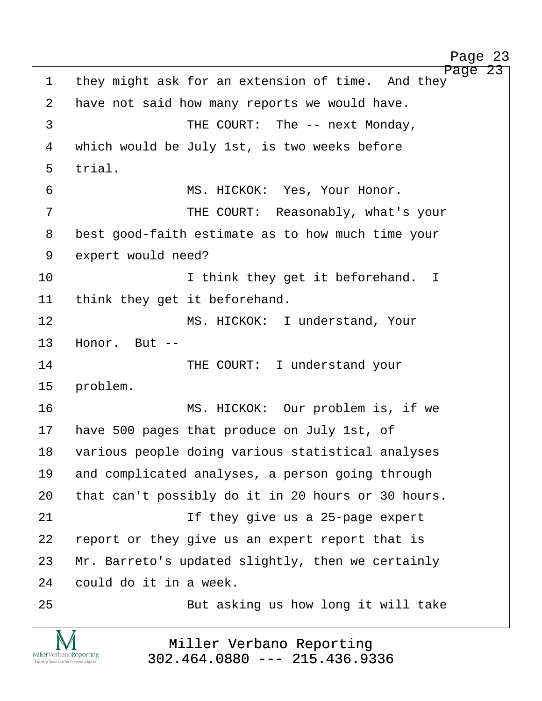http://www.yeslaw.net/help

<span id="page-23-0"></span>Page 23 1 they might ask for an extension of time. And they 2 have not said how many reports we would have. ·3· · · · · · · · · THE COURT:· The -- next Monday, 4 which would be July 1st, is two weeks before 5 trial. 6 · · · · · · · · · · · · · MS. HICKOK: Yes, Your Honor. ·7· · · · · · · · · THE COURT:· Reasonably, what's your 8 best good-faith estimate as to how much time your 9 expert would need? 10 **I** think they get it beforehand. I 11 think they get it beforehand. 12 MS. HICKOK: I understand, Your 13 Honor. But --14 THE COURT: I understand your 15 problem. 16· · · · · · · · · MS. HICKOK:· Our problem is, if we 17 have 500 pages that produce on July 1st, of 18 various people doing various statistical analyses 19 and complicated analyses, a person going through 20 that can't possibly do it in 20 hours or 30 hours. 21 and 21 and 21 and 21 and 21 and 21 and 21 and 25-page expert 22 report or they give us an expert report that is 23 Mr. Barreto's updated slightly, then we certainly 24 could do it in a week. 25· · · · · · · · · But asking us how long it will take

> Miller Verbano Reporting [302.464.0880 --- 215.436.9336](http://www.miller-verbano.com)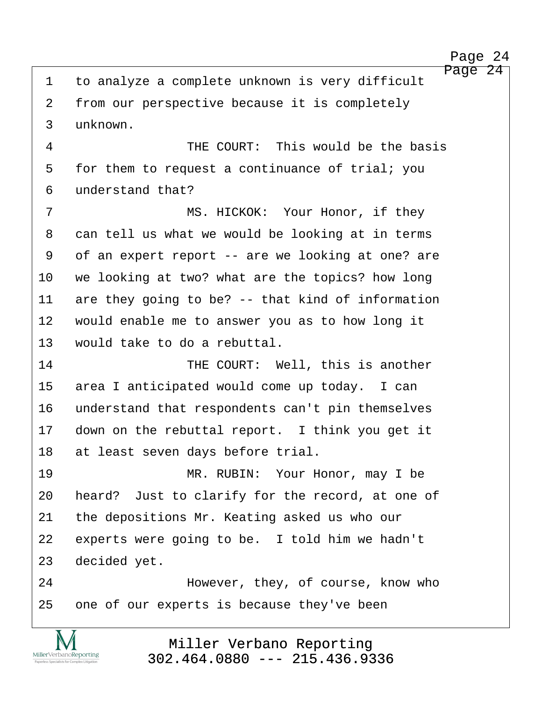http://www.yeslaw.net/help

<span id="page-24-0"></span>Page 24 1 to analyze a complete unknown is very difficult 2 from our perspective because it is completely ·3· ·unknown. ·4· · · · · · · · · THE COURT:· This would be the basis 5 for them to request a continuance of trial; you 6 understand that? ·7· · · · · · · · · MS. HICKOK:· Your Honor, if they 8 can tell us what we would be looking at in terms 9 of an expert report -- are we looking at one? are 10 we looking at two? what are the topics? how long 11 are they going to be? -- that kind of information 12 would enable me to answer you as to how long it 13 would take to do a rebuttal. 14 **• THE COURT:** Well, this is another 15 area I anticipated would come up today. I can 16 understand that respondents can't pin themselves 17 down on the rebuttal report. I think you get it 18 at least seven days before trial. 19· · · · · · · · · MR. RUBIN:· Your Honor, may I be 20 heard? Just to clarify for the record, at one of 21 the depositions Mr. Keating asked us who our 22 experts were going to be. I told him we hadn't 23 decided yet. 24· · · · · · · · · However, they, of course, know who 25 one of our experts is because they've been

> Miller Verbano Reporting [302.464.0880 --- 215.436.9336](http://www.miller-verbano.com)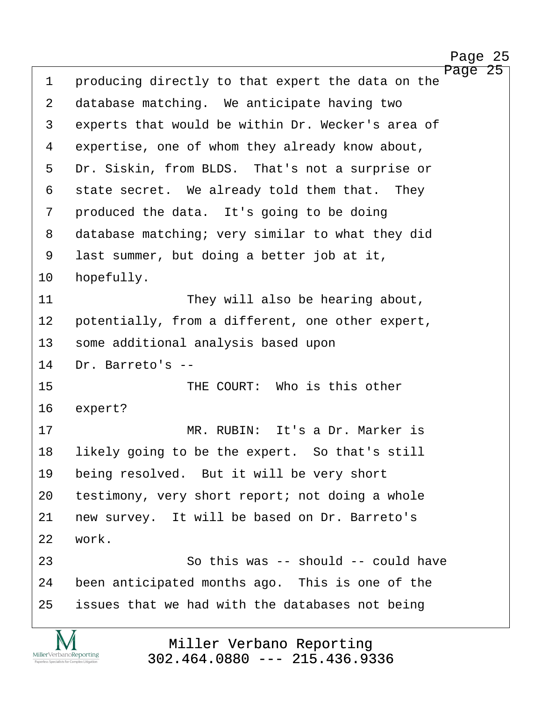http://www.yeslaw.net/help

<span id="page-25-0"></span>Page 25 1 • producing directly to that expert the data on the 2 database matching. We anticipate having two 3 experts that would be within Dr. Wecker's area of 4 expertise, one of whom they already know about, 5 Dr. Siskin, from BLDS. That's not a surprise or 6 state secret. We already told them that. They 7 produced the data. It's going to be doing 8 database matching; very similar to what they did 9 last summer, but doing a better job at it, 10 hopefully. 11· · · · · · · · · They will also be hearing about, 12 potentially, from a different, one other expert, 13 some additional analysis based upon 14 Dr. Barreto's --15· · · · · · · · · THE COURT:· Who is this other 16 expert? 17· · · · · · · · · MR. RUBIN:· It's a Dr. Marker is 18 likely going to be the expert. So that's still 19 being resolved. But it will be very short 20 testimony, very short report; not doing a whole 21 new survey. It will be based on Dr. Barreto's 22 work. 23· · · · · · · · · So this was -- should -- could have 24 been anticipated months ago. This is one of the 25· ·issues that we had with the databases not being

Miller Verbano Reporting [302.464.0880 --- 215.436.9336](http://www.miller-verbano.com)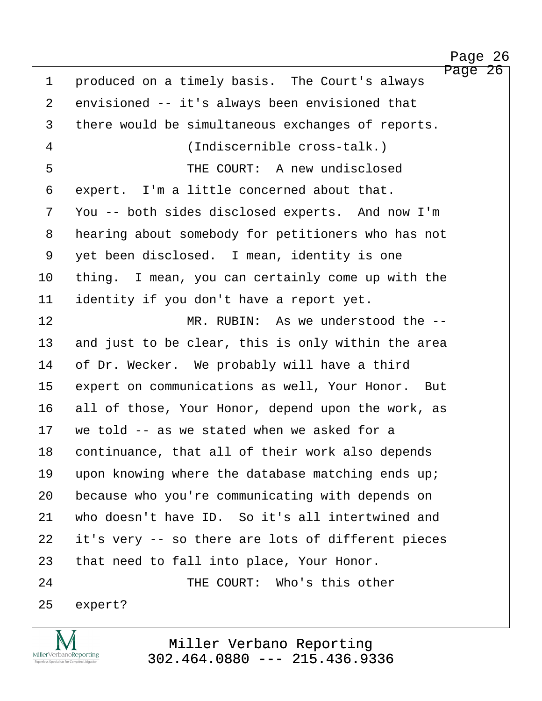http://www.yeslaw.net/help

<span id="page-26-0"></span>Page 26 1 • produced on a timely basis. The Court's always 2 envisioned -- it's always been envisioned that 3 there would be simultaneous exchanges of reports. ·4· · · · · · · · · (Indiscernible cross-talk.) ·5· · · · · · · · · THE COURT:· A new undisclosed 6 expert. I'm a little concerned about that. 7 You -- both sides disclosed experts. And now I'm 8 hearing about somebody for petitioners who has not 9 vet been disclosed. I mean, identity is one 10 thing. I mean, you can certainly come up with the 11 identity if you don't have a report yet. 12· · · · · · · · · MR. RUBIN:· As we understood the -- 13 and just to be clear, this is only within the area 14 of Dr. Wecker. We probably will have a third 15 expert on communications as well, Your Honor. But 16 all of those, Your Honor, depend upon the work, as 17 we told -- as we stated when we asked for a 18 continuance, that all of their work also depends 19 upon knowing where the database matching ends up; 20 because who you're communicating with depends on 21 who doesn't have ID. So it's all intertwined and 22 it's very -- so there are lots of different pieces 23 that need to fall into place, Your Honor. 24· · · · · · · · · THE COURT:· Who's this other 25 expert?

> Miller Verbano Reporting [302.464.0880 --- 215.436.9336](http://www.miller-verbano.com)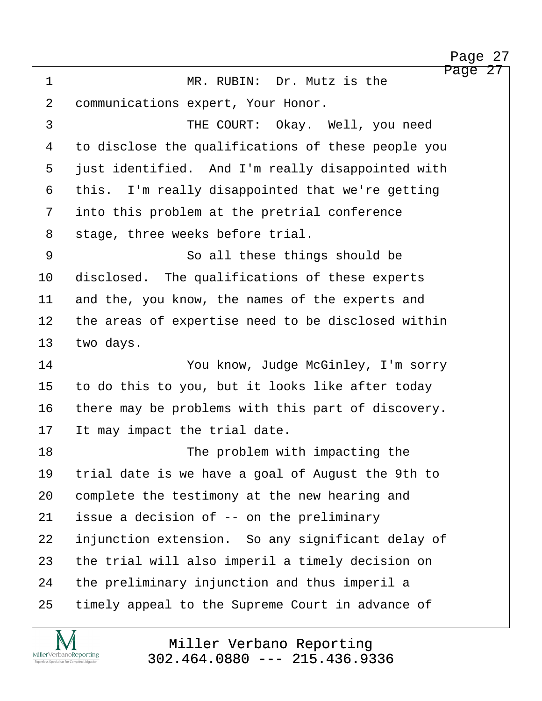http://www.yeslaw.net/help

<span id="page-27-0"></span>Page 27 ·1· · · · · · · · · MR. RUBIN:· Dr. Mutz is the 2 communications expert, Your Honor. ·3· · · · · · · · · THE COURT:· Okay.· Well, you need 4 to disclose the qualifications of these people you 5 just identified. And I'm really disappointed with 6 this. I'm really disappointed that we're getting 7 into this problem at the pretrial conference 8 stage, three weeks before trial. 9 · · · · · · So all these things should be 10 disclosed. The qualifications of these experts 11 and the, you know, the names of the experts and 12 the areas of expertise need to be disclosed within 13 two days. 14 · · · · · · · · · You know, Judge McGinley, I'm sorry 15 to do this to you, but it looks like after today 16 there may be problems with this part of discovery. 17 It may impact the trial date. 18· · · · · · · · · The problem with impacting the 19 trial date is we have a goal of August the 9th to 20 complete the testimony at the new hearing and 21 issue a decision of  $-$ - on the preliminary 22 injunction extension. So any significant delay of 23 the trial will also imperil a timely decision on 24 the preliminary injunction and thus imperil a 25 timely appeal to the Supreme Court in advance of

MillerVerbanoReporting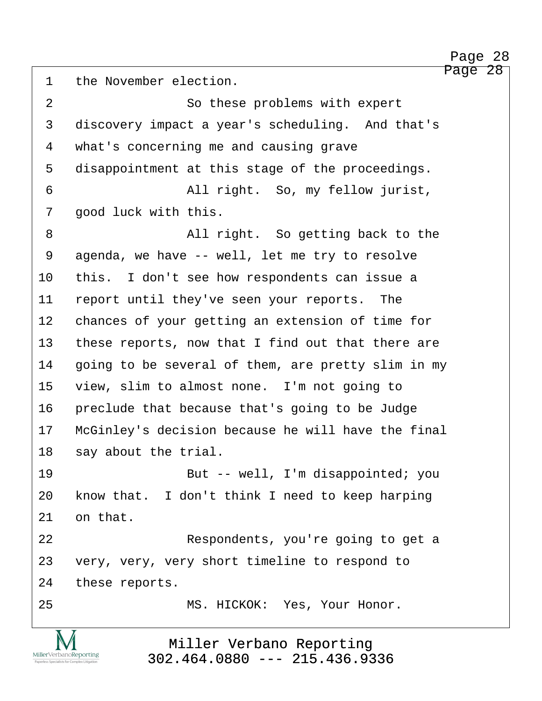http://www.yeslaw.net/help

Page 28

<span id="page-28-0"></span>1 the November election.

IVI MillerVerbanoReporting Paperless Specialists for Comp

x Litigation

| $\overline{2}$ | So these problems with expert                      |
|----------------|----------------------------------------------------|
| 3              | discovery impact a year's scheduling. And that's   |
| 4              | what's concerning me and causing grave             |
| 5              | disappointment at this stage of the proceedings.   |
| 6              | All right. So, my fellow jurist,                   |
| 7              | good luck with this.                               |
| 8              | All right. So getting back to the                  |
| 9              | agenda, we have -- well, let me try to resolve     |
| 10             | this. I don't see how respondents can issue a      |
| 11             | report until they've seen your reports. The        |
| 12             | chances of your getting an extension of time for   |
| 13             | these reports, now that I find out that there are  |
| 14             | going to be several of them, are pretty slim in my |
| 15             | view, slim to almost none. I'm not going to        |
| 16             | preclude that because that's going to be Judge     |
| 17             | McGinley's decision because he will have the final |
| 18             | say about the trial.                               |
| 19             | But -- well, I'm disappointed; you                 |
| 20             | know that. I don't think I need to keep harping    |
| 21             | on that.                                           |
| 22             | Respondents, you're going to get a                 |
| 23             | very, very, very short timeline to respond to      |
| 24             | these reports.                                     |
| 25             | MS. HICKOK: Yes, Your Honor.                       |
|                |                                                    |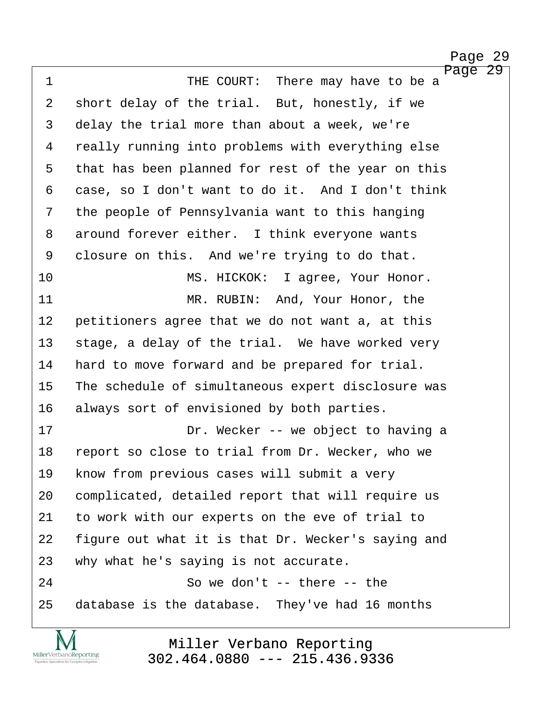Page 29

http://www.yeslaw.net/help

<span id="page-29-0"></span>

| $\mathbf 1$    | rage<br>THE COURT:<br>There may have to be a       |
|----------------|----------------------------------------------------|
| $\overline{2}$ | short delay of the trial. But, honestly, if we     |
| $\mathfrak{Z}$ | delay the trial more than about a week, we're      |
| 4              | really running into problems with everything else  |
| 5              | that has been planned for rest of the year on this |
| 6              | case, so I don't want to do it. And I don't think  |
| 7              | the people of Pennsylvania want to this hanging    |
| 8              | around forever either. I think everyone wants      |
| 9              | closure on this. And we're trying to do that.      |
| 10             | MS. HICKOK: I agree, Your Honor.                   |
| 11             | MR. RUBIN: And, Your Honor, the                    |
| 12             | petitioners agree that we do not want a, at this   |
| 13             | stage, a delay of the trial. We have worked very   |
| 14             | hard to move forward and be prepared for trial.    |
| 15             | The schedule of simultaneous expert disclosure was |
| 16             | always sort of envisioned by both parties.         |
| 17             | Dr. Wecker -- we object to having a                |
| 18             | report so close to trial from Dr. Wecker, who we   |
| 19             | know from previous cases will submit a very        |
| 20             | complicated, detailed report that will require us  |
| 21             | to work with our experts on the eve of trial to    |
| 22             | figure out what it is that Dr. Wecker's saying and |
| 23             | why what he's saying is not accurate.              |
| 24             | So we don't $--$ there $--$ the                    |
| 25             | database is the database. They've had 16 months    |

Miller Verbano Reporting [302.464.0880 --- 215.436.9336](http://www.miller-verbano.com)

TVI  $\underset{\text{Paperless Specialists for Complex Litigation}}{\text{MillerVerbanoReporting}}$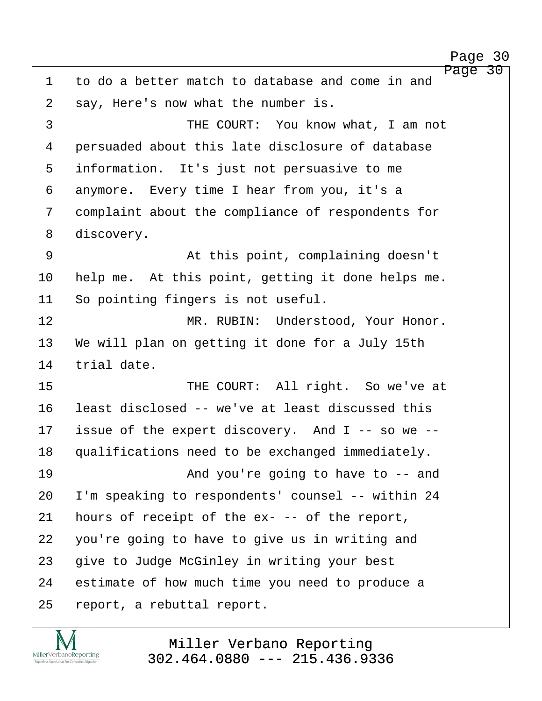<span id="page-30-0"></span>Page 30 1 to do a better match to database and come in and 2 say, Here's now what the number is. 3 · · · · · · · · · THE COURT: You know what, I am not 4 · persuaded about this late disclosure of database 5 information. It's just not persuasive to me 6 anymore. Every time I hear from you, it's a 7 complaint about the compliance of respondents for 8 discovery. 9 · · · · · · · · · At this point, complaining doesn't 10 help me. At this point, getting it done helps me. 11 So pointing fingers is not useful. 12 MR. RUBIN: Understood, Your Honor. 13 We will plan on getting it done for a July 15th 14 trial date. 15 **• 15** THE COURT: All right. So we've at 16 least disclosed -- we've at least discussed this 17 issue of the expert discovery. And  $I$  -- so we --18 qualifications need to be exchanged immediately. 19 · · · · · · · · · · · And you're going to have to -- and 20 I'm speaking to respondents' counsel -- within 24 21 hours of receipt of the  $ex- - -$  of the report, 22 you're going to have to give us in writing and 23 yive to Judge McGinley in writing your best 24 estimate of how much time you need to produce a

http://www.yeslaw.net/help

Page 30

MillerVerbanoReporting

25 report, a rebuttal report.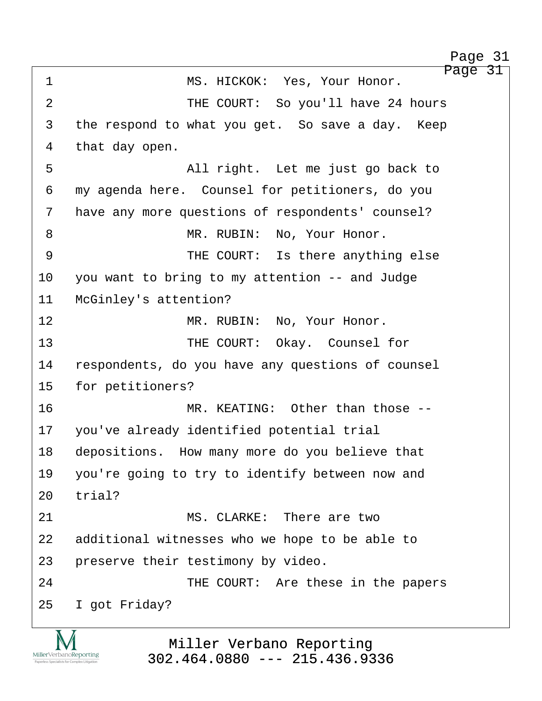http://www.yeslaw.net/help

<span id="page-31-0"></span>

|                | Page 31                                           |
|----------------|---------------------------------------------------|
| $\mathbf 1$    | MS. HICKOK: Yes, Your Honor.                      |
| $\overline{2}$ | THE COURT: So you'll have 24 hours                |
| 3              | the respond to what you get. So save a day. Keep  |
| 4              | that day open.                                    |
| 5              | All right. Let me just go back to                 |
| 6              | my agenda here. Counsel for petitioners, do you   |
| 7              | have any more questions of respondents' counsel?  |
| 8              | MR. RUBIN: No, Your Honor.                        |
| 9              | THE COURT: Is there anything else                 |
| 10             | you want to bring to my attention -- and Judge    |
| 11             | McGinley's attention?                             |
| 12             | MR. RUBIN: No, Your Honor.                        |
| 13             | THE COURT: Okay. Counsel for                      |
| 14             | respondents, do you have any questions of counsel |
| 15             | for petitioners?                                  |
| 16             | MR. KEATING: Other than those --                  |
| 17             | you've already identified potential trial         |
| 18             | depositions. How many more do you believe that    |
| 19             | you're going to try to identify between now and   |
| 20             | trial?                                            |
| 21             | MS. CLARKE: There are two                         |
| 22             | additional witnesses who we hope to be able to    |
| 23             | preserve their testimony by video.                |
| 24             | THE COURT: Are these in the papers                |
| 25             | I got Friday?                                     |
|                |                                                   |

Miller Verbano Reporting [302.464.0880 --- 215.436.9336](http://www.miller-verbano.com)

**IVI**  $\underset{\text{Paperless Specialists for Complex Litigation}}{\text{MillerVerbanoReporting}}$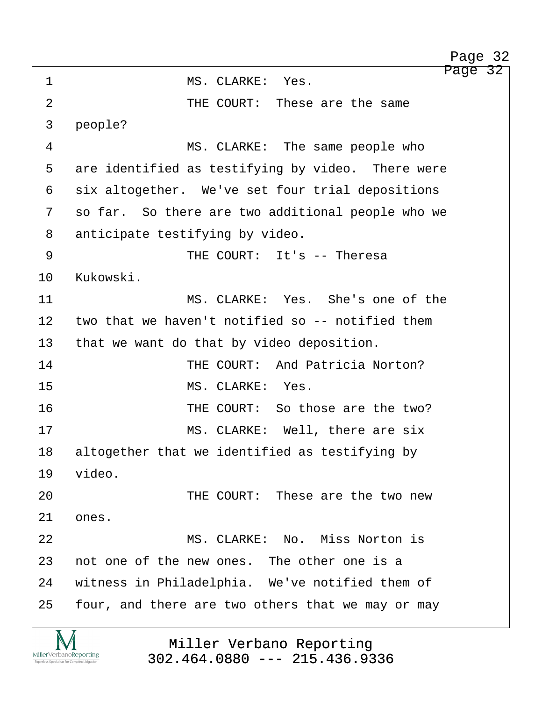http://www.yeslaw.net/help

<span id="page-32-0"></span>

| $\mathbf 1$    | Page 32<br>MS. CLARKE: Yes.                       |
|----------------|---------------------------------------------------|
| $\overline{2}$ | THE COURT: These are the same                     |
| $\mathsf{3}$   | people?                                           |
| 4              | MS. CLARKE: The same people who                   |
| 5              | are identified as testifying by video. There were |
| 6              | six altogether. We've set four trial depositions  |
| 7              | so far. So there are two additional people who we |
| 8              | anticipate testifying by video.                   |
| 9              | THE COURT: It's -- Theresa                        |
| 10             | Kukowski.                                         |
| 11             | MS. CLARKE: Yes. She's one of the                 |
| $12 \,$        | two that we haven't notified so -- notified them  |
| 13             | that we want do that by video deposition.         |
| 14             | THE COURT: And Patricia Norton?                   |
| 15             | MS. CLARKE: Yes.                                  |
| 16             | THE COURT: So those are the two?                  |
| 17             | MS. CLARKE: Well, there are six                   |
| 18             | altogether that we identified as testifying by    |
| 19             | video.                                            |
| 20             | THE COURT: These are the two new                  |
| 21             | ones.                                             |
| 22             | MS. CLARKE: No. Miss Norton is                    |
| 23             | not one of the new ones. The other one is a       |
| 24             | witness in Philadelphia. We've notified them of   |
| 25             | four, and there are two others that we may or may |
|                |                                                   |

Miller Verbano Reporting [302.464.0880 --- 215.436.9336](http://www.miller-verbano.com)

M  $\underset{\text{Paperless Specialists for Complex Litigation}}{\text{MillerVerbanoReporting}}$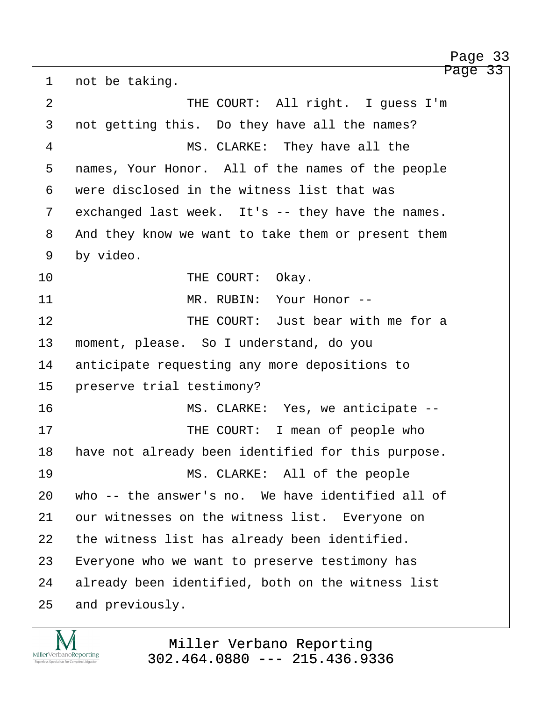<span id="page-33-0"></span>Page 33 1 not be taking. 2 THE COURT: All right. I quess I'm 3 not getting this. Do they have all the names? 4 MS. CLARKE: They have all the 5 names, Your Honor. All of the names of the people 6 vere disclosed in the witness list that was 7 exchanged last week. It's -- they have the names. 8 and they know we want to take them or present them 9 by video. 10 THE COURT: Okay. 11· · · · · · · · · MR. RUBIN:· Your Honor -- 12 THE COURT: Just bear with me for a 13 moment, please. So I understand, do you 14 anticipate requesting any more depositions to 15 preserve trial testimony? 16· · · · · · · · · MS. CLARKE:· Yes, we anticipate -- 17 THE COURT: I mean of people who 18 have not already been identified for this purpose. 19· · · · · · · · · MS. CLARKE:· All of the people Page 33

20 who -- the answer's no. We have identified all of 21 our witnesses on the witness list. Everyone on 22 the witness list has already been identified. 23 Everyone who we want to preserve testimony has 24 already been identified, both on the witness list 25 and previously.

MillerVerbanoReporting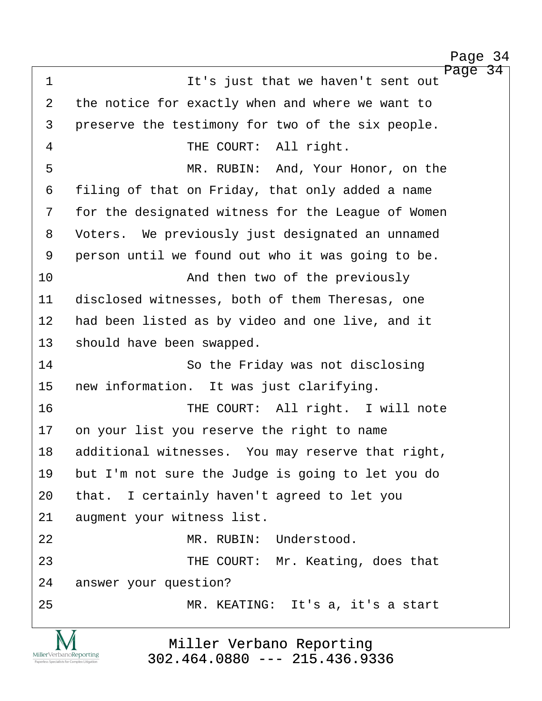<span id="page-34-0"></span>Page 34 ·1· · · · · · · · · It's just that we haven't sent out 2 the notice for exactly when and where we want to 3 preserve the testimony for two of the six people. 4 THE COURT: All right. ·5· · · · · · · · · MR. RUBIN:· And, Your Honor, on the 6 filing of that on Friday, that only added a name 7 for the designated witness for the League of Women 8 Voters. We previously just designated an unnamed 9 person until we found out who it was going to be. 10 and then two of the previously 11 disclosed witnesses, both of them Theresas, one 12 had been listed as by video and one live, and it 13 should have been swapped. 14 · · · · · · So the Friday was not disclosing 15 new information. It was just clarifying. 16 · · · · · · · · THE COURT: All right. I will note 17 on your list you reserve the right to name 18 additional witnesses. You may reserve that right, 19 but I'm not sure the Judge is going to let you do 20 that. I certainly haven't agreed to let you 21 augment your witness list. 22 · · · · · · · · · · · · MR. RUBIN: Understood. 23 THE COURT: Mr. Keating, does that 24 answer your question? 25 · · · · · · · · · MR. KEATING: It's a, it's a start

Miller Verbano Reporting [302.464.0880 --- 215.436.9336](http://www.miller-verbano.com)

MillerVerbanoReporting

http://www.yeslaw.net/help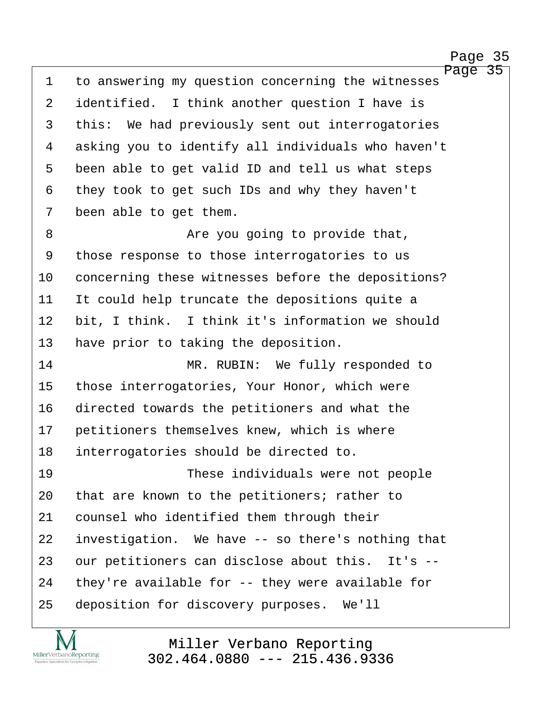http://www.yeslaw.net/help

<span id="page-35-0"></span>Page 35 1 to answering my question concerning the witnesses 2 identified. I think another question I have is 3 this: We had previously sent out interrogatories 4 asking you to identify all individuals who haven't 5 been able to get valid ID and tell us what steps 6 they took to get such IDs and why they haven't 7 been able to get them. 8 are you going to provide that, 9 those response to those interrogatories to us 10 concerning these witnesses before the depositions? 11 It could help truncate the depositions quite a 12 bit, I think. I think it's information we should 13 have prior to taking the deposition. 14 MR. RUBIN: We fully responded to 15 those interrogatories, Your Honor, which were 16 directed towards the petitioners and what the 17 petitioners themselves knew, which is where 18 interrogatories should be directed to. 19 · · · · · · · · · · These individuals were not people 20 that are known to the petitioners; rather to 21 counsel who identified them through their 22 investigation. We have  $-$  so there's nothing that 23 our petitioners can disclose about this. It's --24 they're available for -- they were available for 25 deposition for discovery purposes. We'll

> Miller Verbano Reporting [302.464.0880 --- 215.436.9336](http://www.miller-verbano.com)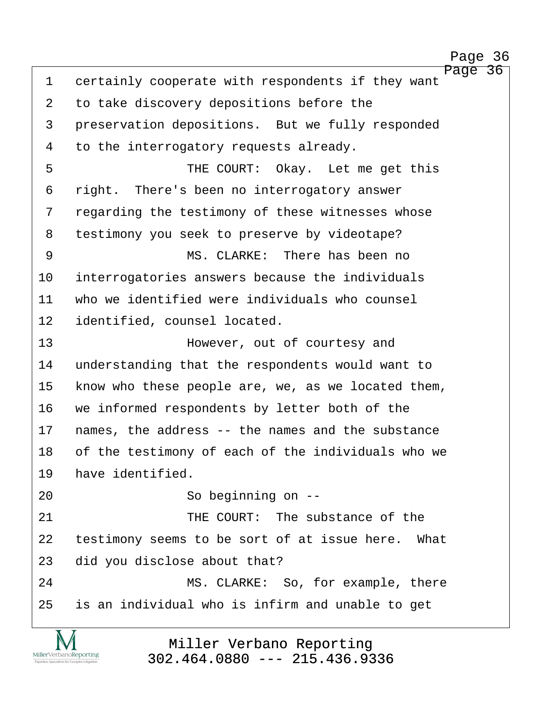http://www.yeslaw.net/help

<span id="page-36-0"></span>Page 36 1 certainly cooperate with respondents if they want 2 to take discovery depositions before the 3 · preservation depositions. But we fully responded 4 to the interrogatory requests already. ·5· · · · · · · · · THE COURT:· Okay.· Let me get this 6 right. There's been no interrogatory answer 7 regarding the testimony of these witnesses whose 8 testimony you seek to preserve by videotape? ·9· · · · · · · · · MS. CLARKE:· There has been no 10 interrogatories answers because the individuals 11· ·who we identified were individuals who counsel 12 identified, counsel located. 13· · · · · · · · · However, out of courtesy and 14 understanding that the respondents would want to 15 know who these people are, we, as we located them, 16 we informed respondents by letter both of the 17 names, the address -- the names and the substance 18 of the testimony of each of the individuals who we 19 have identified. 20 · · · · · · · So beginning on --21· · · · · · · · · THE COURT:· The substance of the 22 testimony seems to be sort of at issue here. What 23 did you disclose about that? 24· · · · · · · · · MS. CLARKE:· So, for example, there 25 is an individual who is infirm and unable to get

> Miller Verbano Reporting [302.464.0880 --- 215.436.9336](http://www.miller-verbano.com)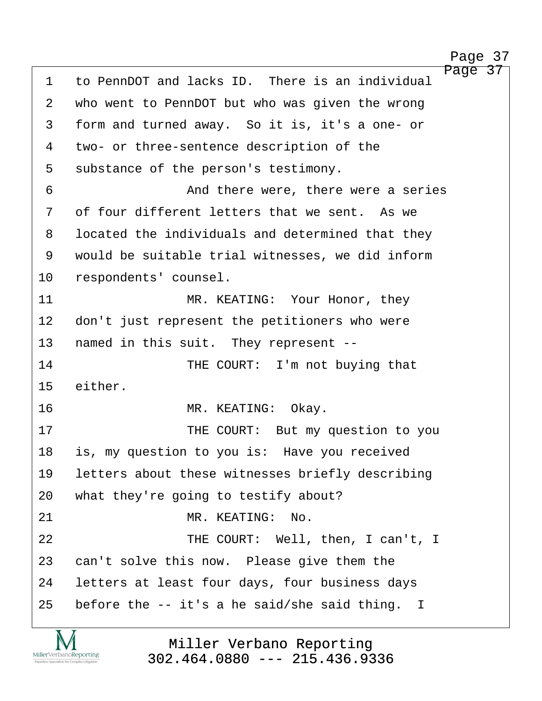$\overline{age}$  37 Page 37

http://www.yeslaw.net/help

<span id="page-37-0"></span>

|             | Ρa                                               |
|-------------|--------------------------------------------------|
| $\mathbf 1$ | to PennDOT and lacks ID. There is an individual  |
| 2           | who went to PennDOT but who was given the wrong  |
| 3           | form and turned away. So it is, it's a one- or   |
| 4           | two- or three-sentence description of the        |
| 5           | substance of the person's testimony.             |
| 6           | And there were, there were a series              |
| 7           | of four different letters that we sent. As we    |
| 8           | located the individuals and determined that they |
| 9           | would be suitable trial witnesses, we did inform |
| 10          | respondents' counsel.                            |
| 11          | MR. KEATING: Your Honor, they                    |
| 12          | don't just represent the petitioners who were    |
| 13          | named in this suit. They represent --            |
| 14          | THE COURT: I'm not buying that                   |
| 15          | either.                                          |
| 16          | MR. KEATING: Okay.                               |
| 17          | THE COURT: But my question to you                |
| 18          | is, my question to you is: Have you received     |
| 19          | letters about these witnesses briefly describing |
| 20          | what they're going to testify about?             |
| 21          | MR. KEATING:<br>No.                              |
| 22          | THE COURT: Well, then, I can't, I                |
| 23          | can't solve this now. Please give them the       |
| 24          | letters at least four days, four business days   |
| 25          | before the $-$ it's a he said/she said thing. I  |
|             |                                                  |

M  $\underset{\text{Paperless Specialists for Complex Litigation}}{\text{MillerVerbanoReporting}}$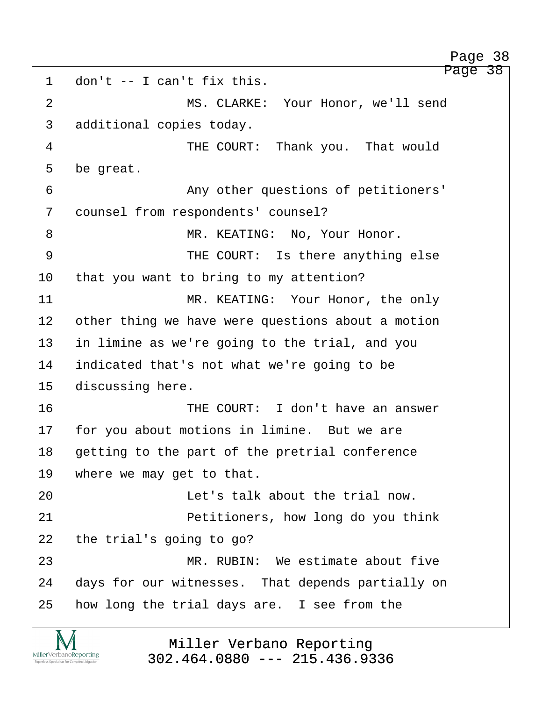<span id="page-38-0"></span>Page 38 1 don't -- I can't fix this. 2 MS. CLARKE: Your Honor, we'll send 3 additional copies today. 4 · · · · · · · · · THE COURT: Thank you. That would 5 be great. ·6· · · · · · · · · Any other questions of petitioners' 7 counsel from respondents' counsel? ·8· · · · · · · · · MR. KEATING:· No, Your Honor. ·9· · · · · · · · · THE COURT:· Is there anything else 10 that you want to bring to my attention? 11 · · · · · · · · · MR. KEATING: Your Honor, the only 12 other thing we have were questions about a motion 13 in limine as we're going to the trial, and you 14 indicated that's not what we're going to be 15 discussing here. 16· · · · · · · · · THE COURT:· I don't have an answer 17 for you about motions in limine. But we are 18 getting to the part of the pretrial conference 19 where we may get to that. 20· · · · · · · · · Let's talk about the trial now. 21 **· · · · · · · · · · · · Petitioners, how long do you think** 22 the trial's going to go? 23· · · · · · · · · MR. RUBIN:· We estimate about five 24 days for our witnesses. That depends partially on 25 · how long the trial days are. I see from the

MillerVerbanoReporting

Miller Verbano Reporting [302.464.0880 --- 215.436.9336](http://www.miller-verbano.com) Page 38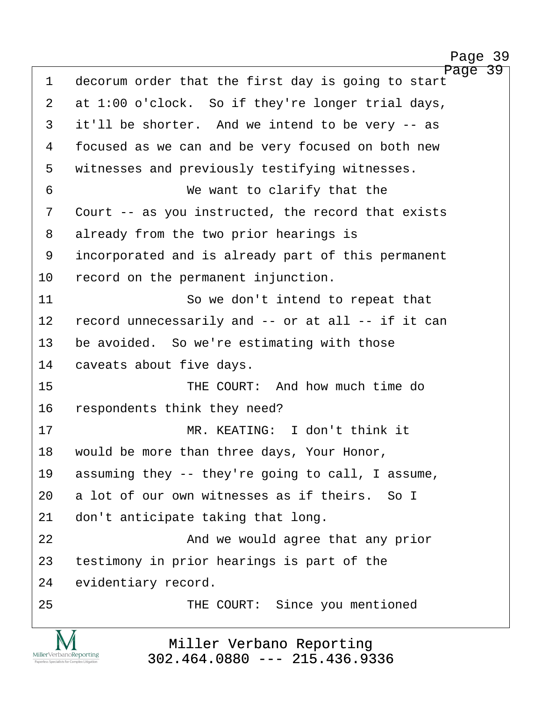http://www.yeslaw.net/help

<span id="page-39-0"></span>Page 39 1 decorum order that the first day is going to start 2 at 1:00 o'clock. So if they're longer trial days, 3 it'll be shorter. And we intend to be very -- as 4 focused as we can and be very focused on both new 5 witnesses and previously testifying witnesses. ·6· · · · · · · · · We want to clarify that the 7 Court -- as you instructed, the record that exists 8 already from the two prior hearings is 9 incorporated and is already part of this permanent 10 record on the permanent injunction. 11 **11** · · · · · · So we don't intend to repeat that 12 record unnecessarily and -- or at all -- if it can 13 be avoided. So we're estimating with those 14 caveats about five days. 15· · · · · · · · · THE COURT:· And how much time do 16 respondents think they need? 17· · · · · · · · · MR. KEATING:· I don't think it 18 would be more than three days, Your Honor, 19 assuming they -- they're going to call, I assume, 20 a lot of our own witnesses as if theirs. So I 21 don't anticipate taking that long. 22 **And we would agree that any prior** 23 testimony in prior hearings is part of the 24 evidentiary record. 25 THE COURT: Since you mentioned

> Miller Verbano Reporting [302.464.0880 --- 215.436.9336](http://www.miller-verbano.com)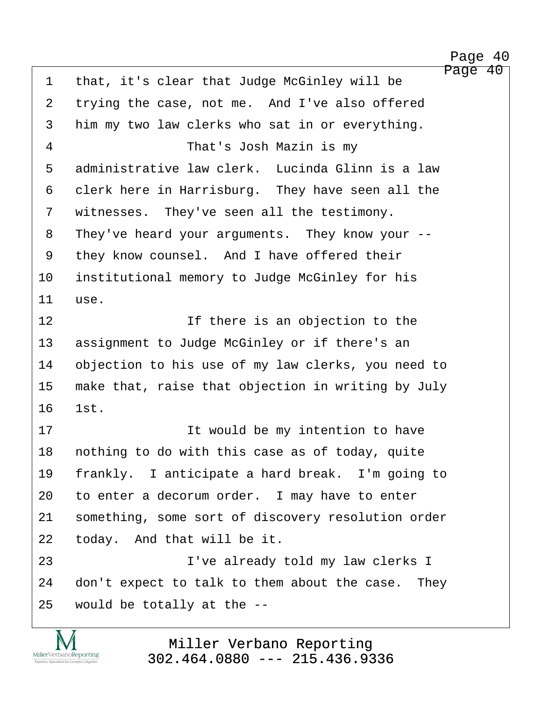http://www.yeslaw.net/help

<span id="page-40-0"></span>Page 40 1 that, it's clear that Judge McGinley will be 2 trying the case, not me. And I've also offered 3 him my two law clerks who sat in or everything. 4 · · · · · · · · · · · · · That's Josh Mazin is my 5 · administrative law clerk. Lucinda Glinn is a law 6 clerk here in Harrisburg. They have seen all the 7 witnesses. They've seen all the testimony. 8 They've heard your arguments. They know your --9 they know counsel. And I have offered their 10 institutional memory to Judge McGinley for his 11 use. 12 and 12 and 16 If there is an objection to the 13 assignment to Judge McGinley or if there's an 14 objection to his use of my law clerks, you need to 15 make that, raise that objection in writing by July 16 1st. 17· · · · · · · · · It would be my intention to have 18 nothing to do with this case as of today, quite 19 frankly. I anticipate a hard break. I'm going to 20 to enter a decorum order. I may have to enter 21 something, some sort of discovery resolution order 22 today. And that will be it. 23 · · · · · · · · I've already told my law clerks I 24 don't expect to talk to them about the case. They  $25$  would be totally at the  $-$ -

> Miller Verbano Reporting [302.464.0880 --- 215.436.9336](http://www.miller-verbano.com)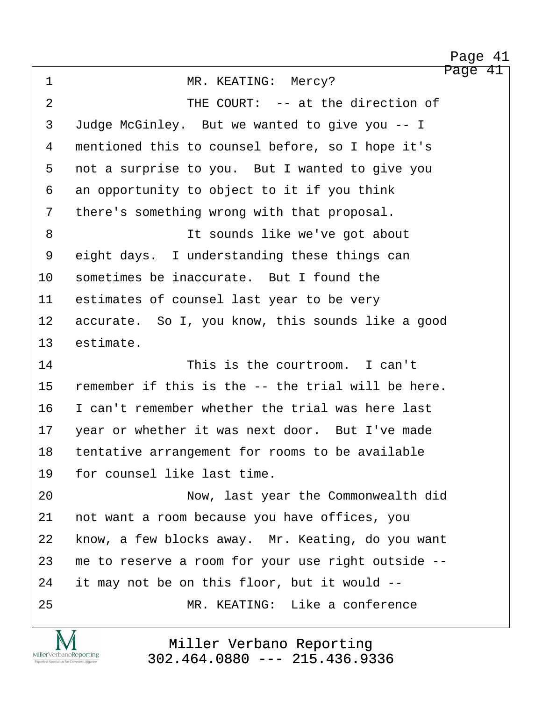http://www.yeslaw.net/help

<span id="page-41-0"></span>Page 41 1 MR. KEATING: Mercy? 2 THE COURT: -- at the direction of 3 Judge McGinley. But we wanted to give you -- I 4 mentioned this to counsel before, so I hope it's 5 not a surprise to you. But I wanted to give you 6 an opportunity to object to it if you think 7 there's something wrong with that proposal. ·8· · · · · · · · · It sounds like we've got about 9 eight days. I understanding these things can 10 sometimes be inaccurate. But I found the 11 estimates of counsel last year to be very 12 accurate. So I, you know, this sounds like a good 13 estimate. 14 **14** · · · · · · · · This is the courtroom. I can't 15 remember if this is the -- the trial will be here. 16 I can't remember whether the trial was here last 17 year or whether it was next door. But I've made 18 tentative arrangement for rooms to be available 19 for counsel like last time. 20 · · · · · · · · · · · · Now, last year the Commonwealth did 21 not want a room because you have offices, you 22 · know, a few blocks away. Mr. Keating, do you want 23 me to reserve a room for your use right outside --24 it may not be on this floor, but it would --25· · · · · · · · · MR. KEATING:· Like a conference

> Miller Verbano Reporting [302.464.0880 --- 215.436.9336](http://www.miller-verbano.com)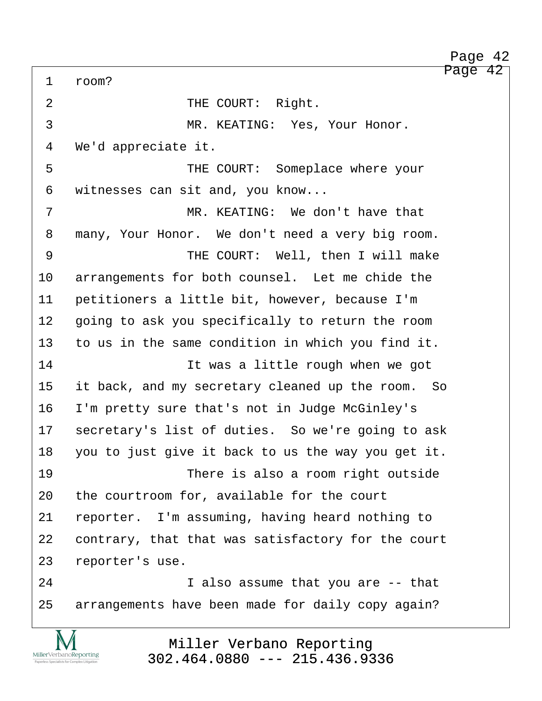http://www.yeslaw.net/help

<span id="page-42-0"></span>1 room? 2 THE COURT: Right. ·3· · · · · · · · · MR. KEATING:· Yes, Your Honor. 4 We'd appreciate it. 5 • THE COURT: Someplace where your 6 witnesses can sit and, you know... 7 · · · · · · · · · · MR. KEATING: We don't have that 8 many, Your Honor. We don't need a very big room. 9 · · · · · · · · THE COURT: Well, then I will make 10 arrangements for both counsel. Let me chide the 11 petitioners a little bit, however, because I'm 12 going to ask you specifically to return the room 13 to us in the same condition in which you find it. 14· · · · · · · · · It was a little rough when we got 15 it back, and my secretary cleaned up the room. So 16 I'm pretty sure that's not in Judge McGinley's 17 secretary's list of duties. So we're going to ask 18 you to just give it back to us the way you get it. 19 · · · · · · · · · There is also a room right outside 20 the courtroom for, available for the court 21 reporter. I'm assuming, having heard nothing to 22 contrary, that that was satisfactory for the court 23 reporter's use. 24 **1 also assume that you are -- that** 25 arrangements have been made for daily copy again?

> Miller Verbano Reporting [302.464.0880 --- 215.436.9336](http://www.miller-verbano.com)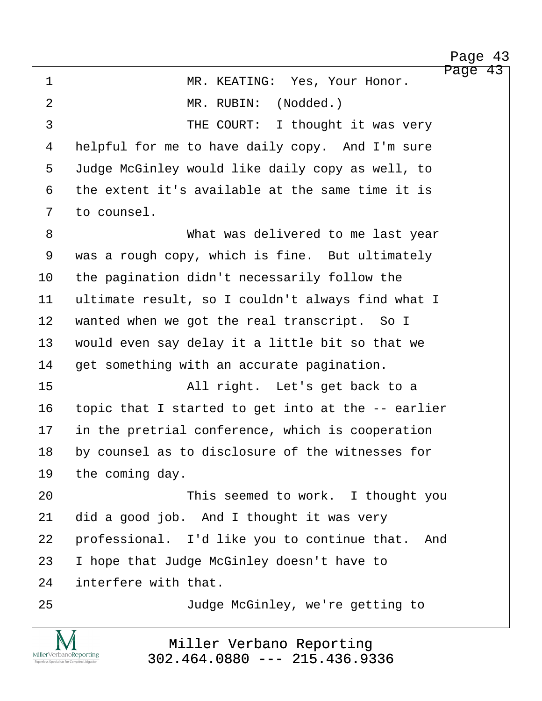http://www.yeslaw.net/help

<span id="page-43-0"></span>

| $\mathbf 1$ | Page 43<br>MR. KEATING: Yes, Your Honor.           |
|-------------|----------------------------------------------------|
| 2           | MR. RUBIN: (Nodded.)                               |
| 3           | THE COURT: I thought it was very                   |
| 4           | helpful for me to have daily copy. And I'm sure    |
| 5           | Judge McGinley would like daily copy as well, to   |
| 6           | the extent it's available at the same time it is   |
| 7           | to counsel.                                        |
| 8           | What was delivered to me last year                 |
| 9           | was a rough copy, which is fine. But ultimately    |
| 10          | the pagination didn't necessarily follow the       |
| 11          | ultimate result, so I couldn't always find what I  |
| 12          | wanted when we got the real transcript. So I       |
| 13          | would even say delay it a little bit so that we    |
| 14          | get something with an accurate pagination.         |
| 15          | All right. Let's get back to a                     |
| 16          | topic that I started to get into at the -- earlier |
| 17          | in the pretrial conference, which is cooperation   |
| 18          | by counsel as to disclosure of the witnesses for   |
| 19          | the coming day.                                    |
| 20          | This seemed to work. I thought you                 |
| 21          | did a good job. And I thought it was very          |
| 22          | professional. I'd like you to continue that. And   |
| 23          | I hope that Judge McGinley doesn't have to         |
| 24          | interfere with that.                               |
| 25          | Judge McGinley, we're getting to                   |
|             |                                                    |

Miller Verbano Reporting [302.464.0880 --- 215.436.9336](http://www.miller-verbano.com)

IVI  $\underset{\text{Paperless Specialists for Complex Litigation}}{\text{MillerVerbanoReporting}}$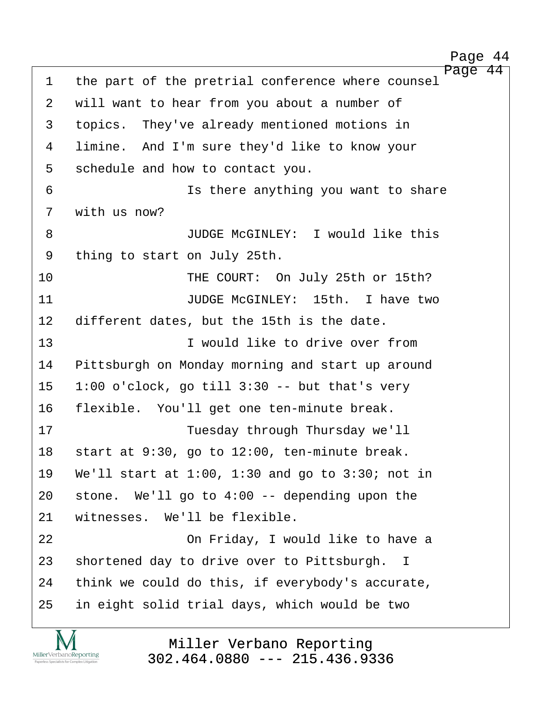http://www.yeslaw.net/help

<span id="page-44-0"></span>Page 44 1 the part of the pretrial conference where counsel 2 will want to hear from you about a number of 3 topics. They've already mentioned motions in 4 limine. And I'm sure they'd like to know your 5 schedule and how to contact you. 6 · · · · · · · · · · Is there anything you want to share 7 with us now? 8 · · · · · · · · · JUDGE McGINLEY: I would like this 9 thing to start on July 25th. 10· · · · · · · · · THE COURT:· On July 25th or 15th? 11 · · · · · · · · JUDGE McGINLEY: 15th. I have two 12 different dates, but the 15th is the date. 13· · · · · · · · · I would like to drive over from 14 Pittsburgh on Monday morning and start up around  $15$   $1:00$  o'clock, go till  $3:30$  -- but that's very 16 flexible. You'll get one ten-minute break. 17 · · · · · · · · · · Tuesday through Thursday we'll 18 start at 9:30, go to 12:00, ten-minute break. 19 We'll start at 1:00, 1:30 and go to 3:30; not in 20  $-$  stone. We'll go to 4:00 -- depending upon the 21 witnesses. We'll be flexible. 22· · · · · · · · · On Friday, I would like to have a 23 shortened day to drive over to Pittsburgh. I 24 think we could do this, if everybody's accurate, 25 in eight solid trial days, which would be two

MillerVerbanoReporting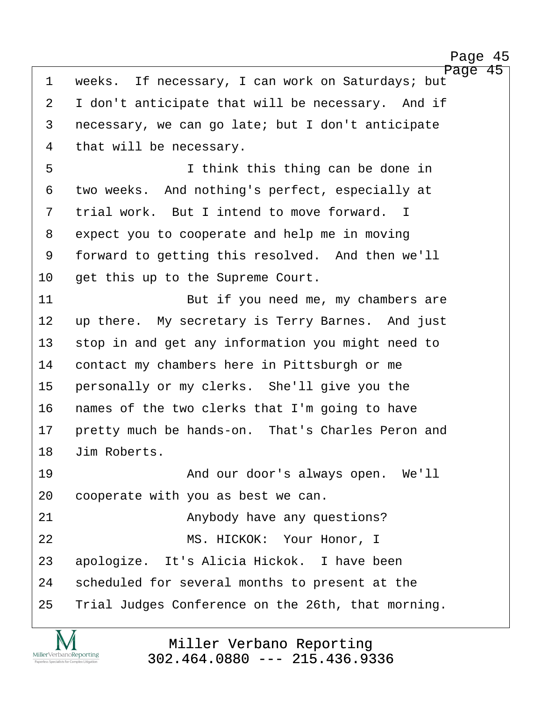http://www.yeslaw.net/help

<span id="page-45-0"></span>Page 45 1 weeks. If necessary, I can work on Saturdays; but 2 I don't anticipate that will be necessary. And if 3 necessary, we can go late; but I don't anticipate 4 that will be necessary. 5 · · · · · · · · · I think this thing can be done in 6 two weeks. And nothing's perfect, especially at 7 trial work. But I intend to move forward. I 8 expect you to cooperate and help me in moving 9 forward to getting this resolved. And then we'll 10 get this up to the Supreme Court. 11· · · · · · · · · But if you need me, my chambers are 12 up there. My secretary is Terry Barnes. And just 13 stop in and get any information you might need to 14 contact my chambers here in Pittsburgh or me 15 personally or my clerks. She'll give you the 16 names of the two clerks that I'm going to have 17 • pretty much be hands-on. That's Charles Peron and 18 Jim Roberts. 19 · · · · · · · · · · · And our door's always open. We'll 20 cooperate with you as best we can. 21 · · · · · · · · Anybody have any questions? 22 · · · · · · · · · MS. HICKOK: Your Honor, I 23 apologize. It's Alicia Hickok. I have been 24 scheduled for several months to present at the 25 Trial Judges Conference on the 26th, that morning.

Miller Verbano Reporting MillerVerbanoReporting [302.464.0880 --- 215.436.9336](http://www.miller-verbano.com)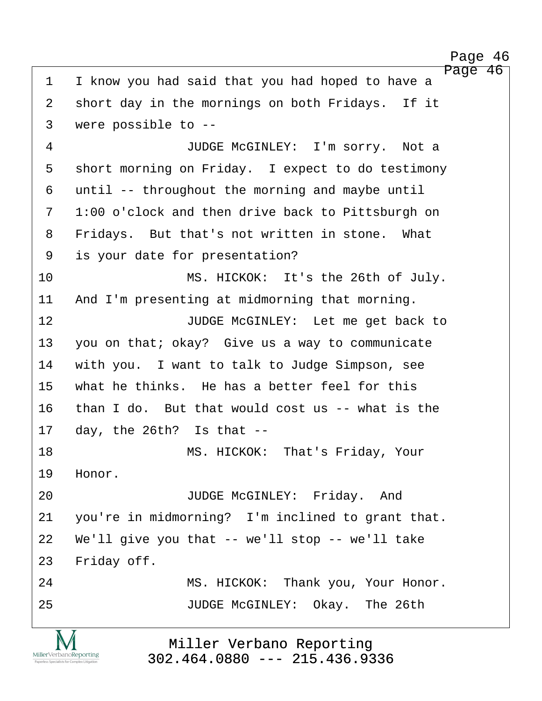http://www.yeslaw.net/help

Page 46

<span id="page-46-0"></span>1 I know you had said that you had hoped to have a 2 short day in the mornings on both Fridays. If it 3 were possible to --4 · · · · · · · · · JUDGE McGINLEY: I'm sorry. Not a 5 short morning on Friday. I expect to do testimony 6 until -- throughout the morning and maybe until 7 1:00 o'clock and then drive back to Pittsburgh on 8 Fridays. But that's not written in stone. What 9 is your date for presentation? 10 MS. HICKOK: It's the 26th of July. 11 And I'm presenting at midmorning that morning. 12 **· · · · · · · · · · · JUDGE McGINLEY:** Let me get back to 13 you on that; okay? Give us a way to communicate 14 with you. I want to talk to Judge Simpson, see 15 what he thinks. He has a better feel for this 16 than I do. But that would cost us -- what is the  $17$  day, the 26th? Is that  $-$ -18· · · · · · · · · MS. HICKOK:· That's Friday, Your 19 Honor. 20 · · · · · · JUDGE McGINLEY: Friday. And 21 you're in midmorning? I'm inclined to grant that. 22 We'll give you that  $-$  we'll stop  $-$  we'll take 23 Friday off. 24 MS. HICKOK: Thank you, Your Honor. 25 · · · · · · JUDGE McGINLEY: Okay. The 26th Miller Verbano Reporting MillerVerbanoReporting [302.464.0880 --- 215.436.9336](http://www.miller-verbano.com)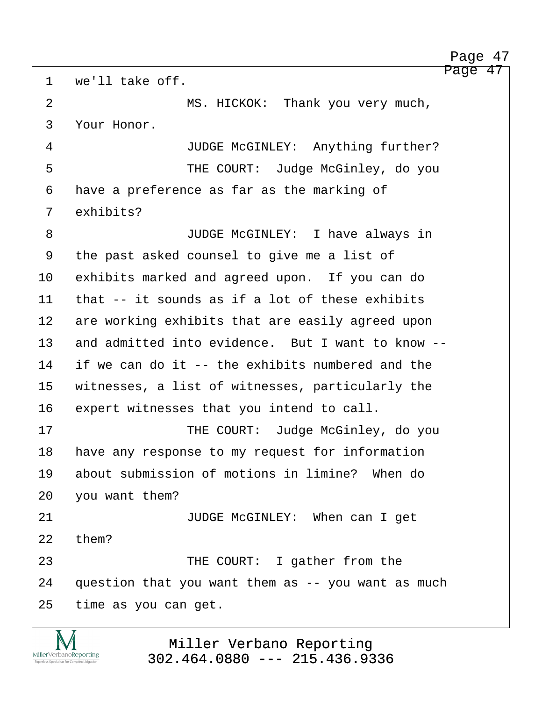Page 47

<span id="page-47-0"></span>1 we'll take off. 2 MS. HICKOK: Thank you very much, 3 Your Honor. 4 · · · · · JUDGE McGINLEY: Anything further? ·5· · · · · · · · · THE COURT:· Judge McGinley, do you 6 have a preference as far as the marking of 7 exhibits? 8 · · · · · · · · · JUDGE McGINLEY: I have always in 9 the past asked counsel to give me a list of 10 exhibits marked and agreed upon. If you can do 11 that -- it sounds as if a lot of these exhibits 12 are working exhibits that are easily agreed upon 13 and admitted into evidence. But I want to know --14 if we can do it -- the exhibits numbered and the 15 witnesses, a list of witnesses, particularly the 16 expert witnesses that you intend to call. 17· · · · · · · · · THE COURT:· Judge McGinley, do you 18 have any response to my request for information 19 about submission of motions in limine? When do 20 you want them? 21· · · · · · · · · JUDGE McGINLEY:· When can I get 22 them? 23 THE COURT: I gather from the 24  $\alpha$  question that you want them as  $-$ - you want as much 25 time as you can get.

http://www.yeslaw.net/help

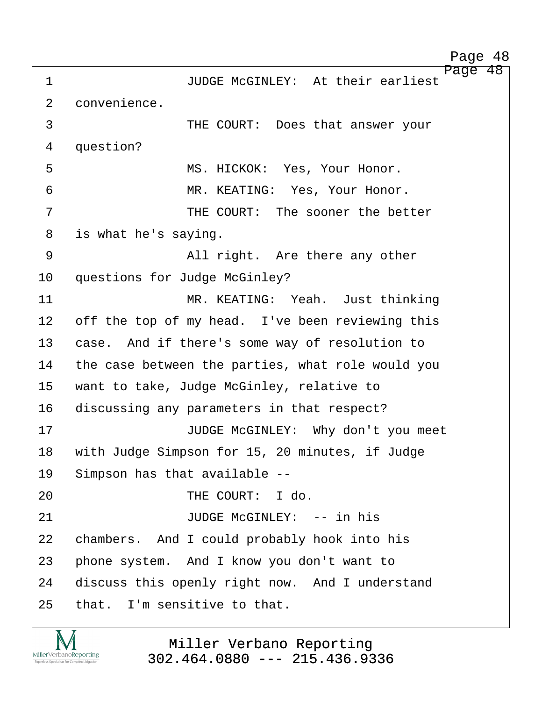http://www.yeslaw.net/help

<span id="page-48-0"></span>

| JUDGE MCGINLEY: At their earliest                 |
|---------------------------------------------------|
|                                                   |
| THE COURT: Does that answer your                  |
|                                                   |
| MS. HICKOK: Yes, Your Honor.                      |
| MR. KEATING: Yes, Your Honor.                     |
| THE COURT: The sooner the better                  |
|                                                   |
| All right. Are there any other                    |
|                                                   |
| MR. KEATING: Yeah. Just thinking                  |
| off the top of my head. I've been reviewing this  |
| case. And if there's some way of resolution to    |
| the case between the parties, what role would you |
| want to take, Judge McGinley, relative to         |
| discussing any parameters in that respect?        |
| JUDGE McGINLEY: Why don't you meet                |
| with Judge Simpson for 15, 20 minutes, if Judge   |
|                                                   |
|                                                   |
| JUDGE MCGINLEY: -- in his                         |
| chambers. And I could probably hook into his      |
| phone system. And I know you don't want to        |
| discuss this openly right now. And I understand   |
|                                                   |
|                                                   |

**IVI**  $\underset{\text{Paperless Specialists for Complex Litigation}}{\text{MillerVerbanoReporting}}$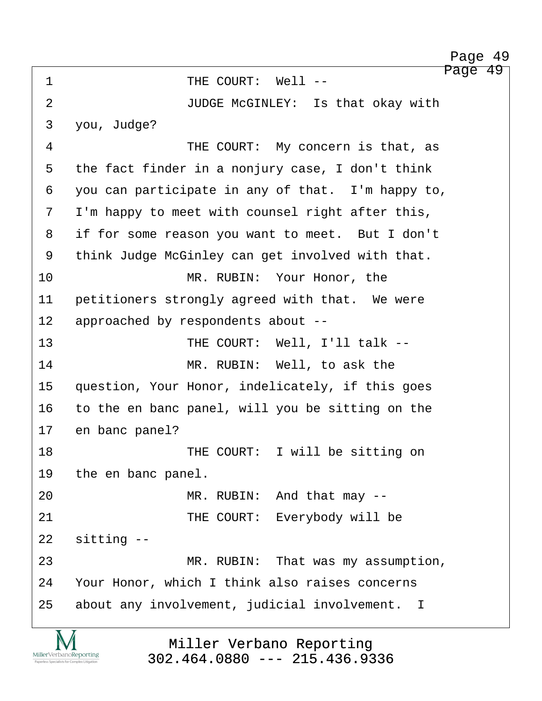Page 49

http://www.yeslaw.net/help

<span id="page-49-0"></span>

| $\mathbf 1$    | rage<br>THE COURT: Well --                        |
|----------------|---------------------------------------------------|
| $\overline{2}$ | JUDGE MCGINLEY: Is that okay with                 |
| 3              | you, Judge?                                       |
| 4              | THE COURT: My concern is that, as                 |
| 5              | the fact finder in a nonjury case, I don't think  |
| 6              | you can participate in any of that. I'm happy to, |
| 7              | I'm happy to meet with counsel right after this,  |
| 8              | if for some reason you want to meet. But I don't  |
| 9              | think Judge McGinley can get involved with that.  |
| 10             | MR. RUBIN: Your Honor, the                        |
| 11             | petitioners strongly agreed with that. We were    |
| 12             | approached by respondents about --                |
| 13             | THE COURT: Well, I'll talk --                     |
| 14             | MR. RUBIN: Well, to ask the                       |
| 15             | question, Your Honor, indelicately, if this goes  |
| 16             | to the en banc panel, will you be sitting on the  |
| 17             | en banc panel?                                    |
| 18             | THE COURT: I will be sitting on                   |
| 19             | the en banc panel.                                |
| 20             | MR. RUBIN: And that may --                        |
| 21             | THE COURT: Everybody will be                      |
| 22             | $sitting - -$                                     |
| 23             | MR. RUBIN: That was my assumption,                |
| 24             | Your Honor, which I think also raises concerns    |
| 25             | about any involvement, judicial involvement. I    |
|                |                                                   |

Miller Verbano Reporting [302.464.0880 --- 215.436.9336](http://www.miller-verbano.com)

M  $\underset{\text{Paperless Specialists for Complex Litigation}}{\text{MillerVerbanoReporting}}$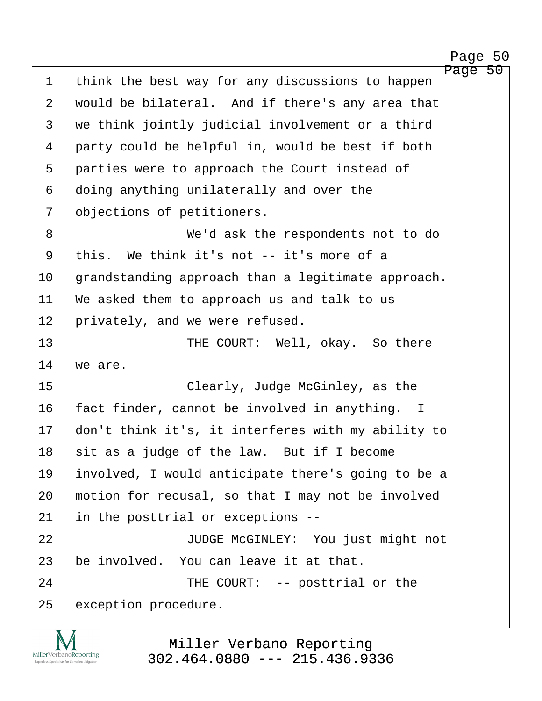http://www.yeslaw.net/help

<span id="page-50-0"></span>Page 50 1 think the best way for any discussions to happen 2 would be bilateral. And if there's any area that 3 we think jointly judicial involvement or a third 4 party could be helpful in, would be best if both 5 parties were to approach the Court instead of 6 doing anything unilaterally and over the 7 objections of petitioners. ·8· · · · · · · · · We'd ask the respondents not to do 9 this. We think it's not -- it's more of a 10 grandstanding approach than a legitimate approach. 11 We asked them to approach us and talk to us 12 privately, and we were refused. 13 • THE COURT: Well, okay. So there 14 we are. 15 · · · · · · · · · Clearly, Judge McGinley, as the 16 fact finder, cannot be involved in anything. I 17 don't think it's, it interferes with my ability to 18 sit as a judge of the law. But if I become 19 involved, I would anticipate there's going to be a 20 motion for recusal, so that I may not be involved 21 in the posttrial or exceptions --22 **· · · · · · · · · · · · JUDGE McGINLEY:** You just might not 23 be involved. You can leave it at that. 24 THE COURT: -- posttrial or the 25 exception procedure.

Miller Verbano Reporting MillerVerbanoReporting [302.464.0880 --- 215.436.9336](http://www.miller-verbano.com)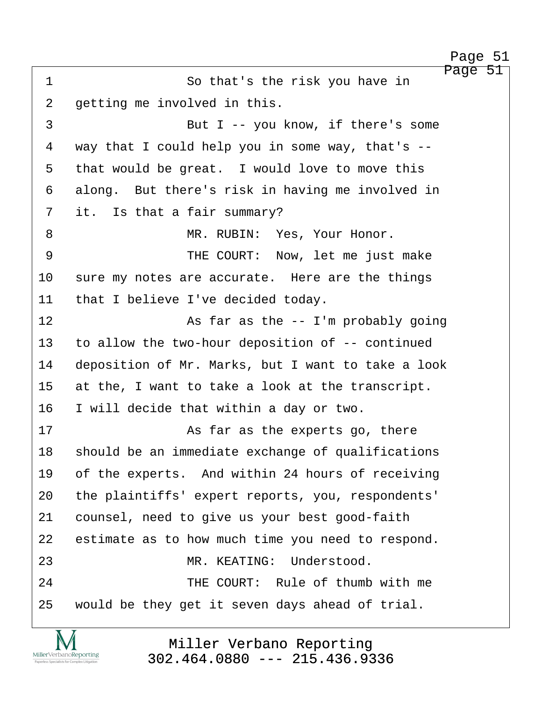http://www.yeslaw.net/help

<span id="page-51-0"></span>Page 51 1 · · · · · · So that's the risk you have in 2 getting me involved in this. 3 and But I -- you know, if there's some 4 way that I could help you in some way, that's --5 that would be great. I would love to move this 6 along. But there's risk in having me involved in 7 it. Is that a fair summary? ·8· · · · · · · · · MR. RUBIN:· Yes, Your Honor. 9 · · · · · · · · · · THE COURT: Now, let me just make 10 sure my notes are accurate. Here are the things 11 that I believe I've decided today. 12 as far as the -- I'm probably going 13 to allow the two-hour deposition of -- continued 14 deposition of Mr. Marks, but I want to take a look 15 at the, I want to take a look at the transcript. 16 I will decide that within a day or two. 17 · · · · · · · · · · · As far as the experts go, there 18 should be an immediate exchange of qualifications 19 of the experts. And within 24 hours of receiving 20 the plaintiffs' expert reports, you, respondents' 21 counsel, need to give us your best good-faith 22 estimate as to how much time you need to respond. 23· · · · · · · · · MR. KEATING:· Understood. 24· · · · · · · · · THE COURT:· Rule of thumb with me 25 would be they get it seven days ahead of trial.

> Miller Verbano Reporting [302.464.0880 --- 215.436.9336](http://www.miller-verbano.com)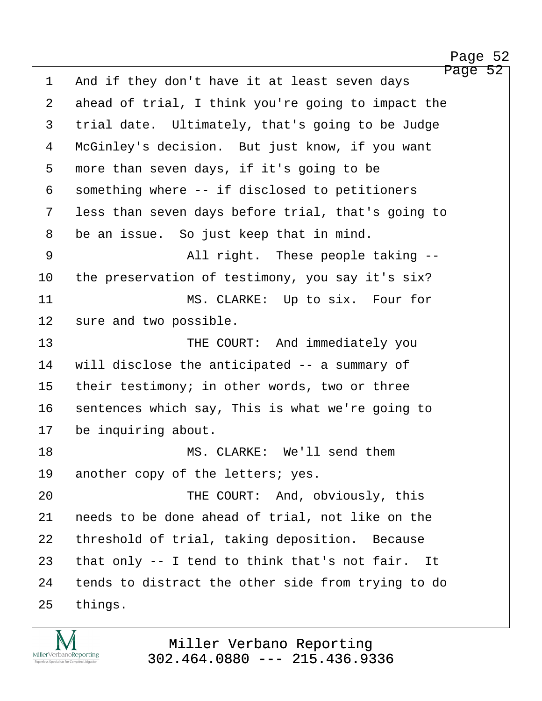<span id="page-52-0"></span>Page 52 1 And if they don't have it at least seven days 2 ahead of trial, I think you're going to impact the 3 trial date. Ultimately, that's going to be Judge 4 McGinley's decision. But just know, if you want 5 more than seven days, if it's going to be 6 something where -- if disclosed to petitioners 7 less than seven days before trial, that's going to 8 be an issue. So just keep that in mind. ·9· · · · · · · · · All right.· These people taking -- 10 the preservation of testimony, you say it's six? 11 MS. CLARKE: Up to six. Four for 12 sure and two possible. 13· · · · · · · · · THE COURT:· And immediately you 14 vill disclose the anticipated -- a summary of 15 their testimony; in other words, two or three 16 sentences which say, This is what we're going to 17 be inquiring about. 18· · · · · · · · · MS. CLARKE:· We'll send them 19 another copy of the letters; yes. 20 THE COURT: And, obviously, this 21 needs to be done ahead of trial, not like on the 22 threshold of trial, taking deposition. Because 23 that only  $-$ - I tend to think that's not fair. It 24 tends to distract the other side from trying to do 25 things.

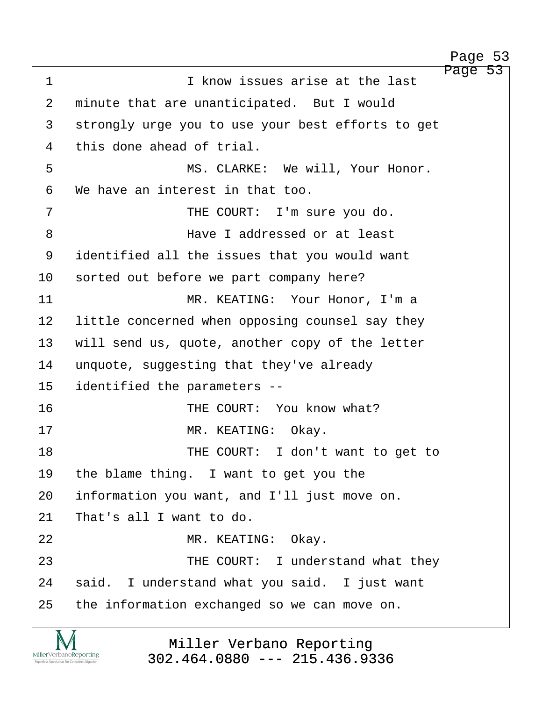http://www.yeslaw.net/help

<span id="page-53-0"></span>Page 53 1 · · · · · · · I know issues arise at the last 2 minute that are unanticipated. But I would 3 strongly urge you to use your best efforts to get 4 this done ahead of trial. ·5· · · · · · · · · MS. CLARKE:· We will, Your Honor. 6 We have an interest in that too. ·7· · · · · · · · · THE COURT:· I'm sure you do. ·8· · · · · · · · · Have I addressed or at least 9 identified all the issues that you would want 10 sorted out before we part company here? 11 · · · · · · · · · · · MR. KEATING: Your Honor, I'm a 12 little concerned when opposing counsel say they 13 will send us, quote, another copy of the letter 14 unquote, suggesting that they've already 15 identified the parameters --16 · · · · · · · · · · THE COURT: You know what? 17· · · · · · · · · MR. KEATING:· Okay. 18 · · · · · · · · · · · THE COURT: I don't want to get to 19 the blame thing. I want to get you the 20 information you want, and I'll just move on. 21 That's all I want to do. 22 MR. KEATING: Okay. 23 **• · · · · · · · · · · THE COURT:** I understand what they 24 said. I understand what you said. I just want 25 the information exchanged so we can move on.

MillerVerbanoReporting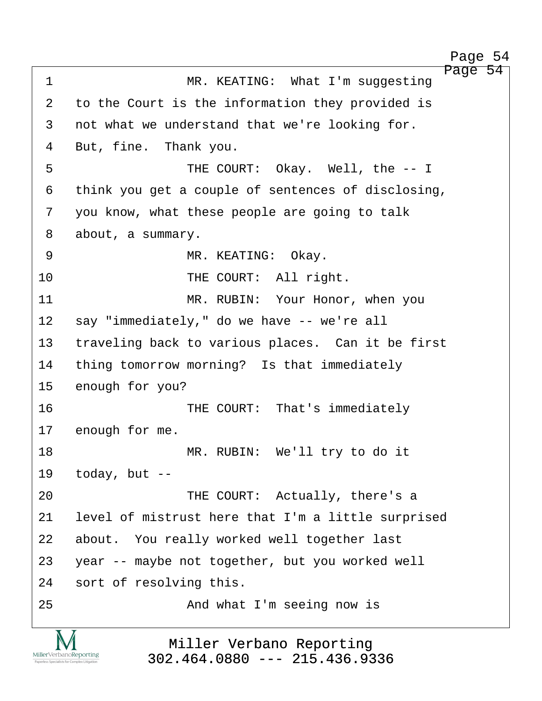http://www.yeslaw.net/help

<span id="page-54-0"></span>Page 54 1 **1** MR. KEATING: What I'm suggesting 2 to the Court is the information they provided is 3 not what we understand that we're looking for. 4 But, fine. Thank you. ·5· · · · · · · · · THE COURT:· Okay.· Well, the -- I 6 think you get a couple of sentences of disclosing, 7 you know, what these people are going to talk 8 about, a summary. ·9· · · · · · · · · MR. KEATING:· Okay. 10 THE COURT: All right. 11 **In additional MR. RUBIN:** Your Honor, when you 12 say "immediately," do we have -- we're all 13 traveling back to various places. Can it be first 14 thing tomorrow morning? Is that immediately 15 enough for you? 16 **• THE COURT:** That's immediately 17 enough for me. 18 **MR. RUBIN:** We'll try to do it  $19$  today, but  $-$ 20 **THE COURT:** Actually, there's a 21 level of mistrust here that I'm a little surprised 22 about. You really worked well together last 23 year -- maybe not together, but you worked well 24 sort of resolving this. 25 · · · · · · · · · · · · And what I'm seeing now is

> Miller Verbano Reporting [302.464.0880 --- 215.436.9336](http://www.miller-verbano.com)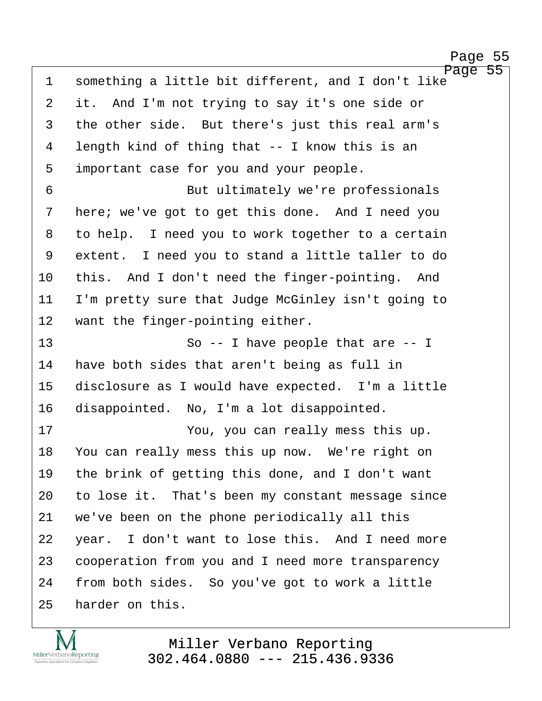http://www.yeslaw.net/help

<span id="page-55-0"></span>Page 55 1 something a little bit different, and I don't like 2 it. And I'm not trying to say it's one side or 3 the other side. But there's just this real arm's 4 length kind of thing that -- I know this is an 5 important case for you and your people. ·6· · · · · · · · · But ultimately we're professionals 7 here; we've got to get this done. And I need you 8 to help. I need you to work together to a certain 9 extent. I need you to stand a little taller to do 10 this. And I don't need the finger-pointing. And 11 I'm pretty sure that Judge McGinley isn't going to 12 want the finger-pointing either. 13 · · · · · So -- I have people that are -- I 14 have both sides that aren't being as full in 15 disclosure as I would have expected. I'm a little 16 disappointed. No, I'm a lot disappointed. 17 · · · · · · · · · You, you can really mess this up. 18 You can really mess this up now. We're right on 19 the brink of getting this done, and I don't want 20 to lose it. That's been my constant message since 21 we've been on the phone periodically all this 22 vear. I don't want to lose this. And I need more 23 cooperation from you and I need more transparency 24 from both sides. So you've got to work a little 25 harder on this.

MillerVerbanoReporting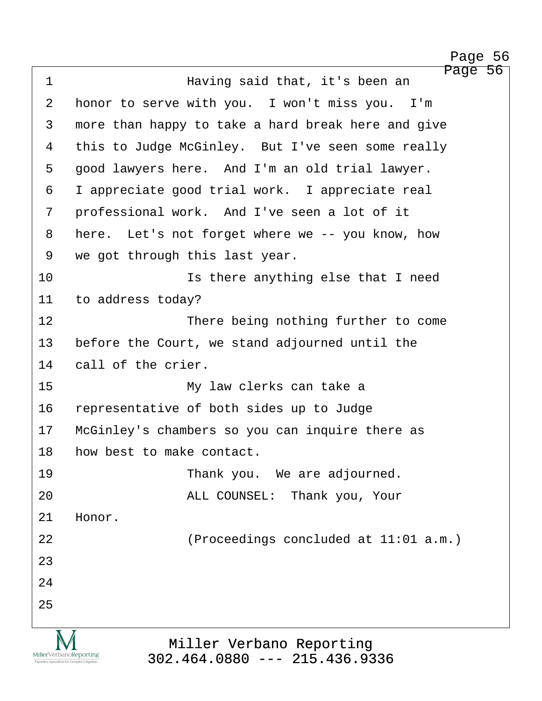$\overline{56}$ Page 56

http://www.yeslaw.net/help

/www.yeslaw.net/help

<span id="page-56-0"></span>

|                                                                        | Page                                                        |
|------------------------------------------------------------------------|-------------------------------------------------------------|
| $\mathbf 1$                                                            | Having said that, it's been an                              |
| 2                                                                      | honor to serve with you. I won't miss you. I'm              |
| 3                                                                      | more than happy to take a hard break here and give          |
| 4                                                                      | this to Judge McGinley. But I've seen some really           |
| 5                                                                      | good lawyers here. And I'm an old trial lawyer.             |
| 6                                                                      | I appreciate good trial work. I appreciate real             |
| 7                                                                      | professional work. And I've seen a lot of it                |
| 8                                                                      | here. Let's not forget where we -- you know, how            |
| 9                                                                      | we got through this last year.                              |
| 10                                                                     | Is there anything else that I need                          |
| 11                                                                     | to address today?                                           |
| 12                                                                     | There being nothing further to come                         |
| 13                                                                     | before the Court, we stand adjourned until the              |
| 14                                                                     | call of the crier.                                          |
| 15                                                                     | My law clerks can take a                                    |
| 16                                                                     | representative of both sides up to Judge                    |
| 17                                                                     | McGinley's chambers so you can inquire there as             |
| 18                                                                     | how best to make contact.                                   |
| 19                                                                     | Thank you. We are adjourned.                                |
| 20                                                                     | ALL COUNSEL: Thank you, Your                                |
| 21                                                                     | Honor.                                                      |
| 22                                                                     | (Proceedings concluded at 11:01 a.m.)                       |
| 23                                                                     |                                                             |
| 24                                                                     |                                                             |
| 25                                                                     |                                                             |
|                                                                        |                                                             |
| MillerVerbanoReporting<br>Paperless Specialists for Complex Litigation | Miller Verbano Reporting<br>$302.464.0880$ --- 215.436.9336 |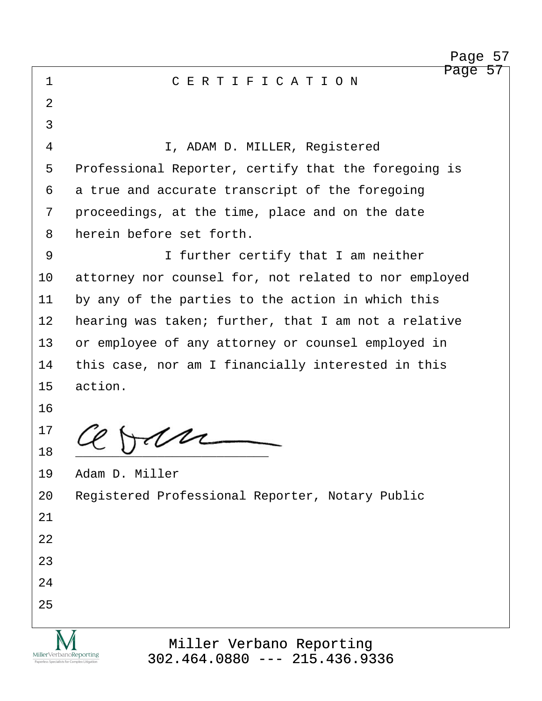Page 57 Page 57

|  |  |  |  |  |  |  |  |  |  | CERTIFICATION |  |  |  |
|--|--|--|--|--|--|--|--|--|--|---------------|--|--|--|
|--|--|--|--|--|--|--|--|--|--|---------------|--|--|--|

| ᅩ                                                                      | . U                                                         |
|------------------------------------------------------------------------|-------------------------------------------------------------|
| 2                                                                      |                                                             |
| 3                                                                      |                                                             |
| 4                                                                      | I, ADAM D. MILLER, Registered                               |
| 5                                                                      | Professional Reporter, certify that the foregoing is        |
| 6                                                                      | a true and accurate transcript of the foregoing             |
| 7                                                                      | proceedings, at the time, place and on the date             |
| 8                                                                      | herein before set forth.                                    |
| 9                                                                      | I further certify that I am neither                         |
| 10                                                                     | attorney nor counsel for, not related to nor employed       |
| 11                                                                     | by any of the parties to the action in which this           |
| 12                                                                     | hearing was taken; further, that I am not a relative        |
| 13                                                                     | or employee of any attorney or counsel employed in          |
| 14                                                                     | this case, nor am I financially interested in this          |
| 15                                                                     | action.                                                     |
| 16                                                                     |                                                             |
| 17                                                                     |                                                             |
| 18                                                                     |                                                             |
| 19                                                                     | Adam D. Miller                                              |
| 20                                                                     | Registered Professional Reporter, Notary Public             |
| 21                                                                     |                                                             |
| 22                                                                     |                                                             |
| 23                                                                     |                                                             |
| 24                                                                     |                                                             |
| 25                                                                     |                                                             |
|                                                                        |                                                             |
| MillerVerbanoReporting<br>Paperless Specialists for Complex Litigation | Miller Verbano Reporting<br>$302.464.0880$ --- 215.436.9336 |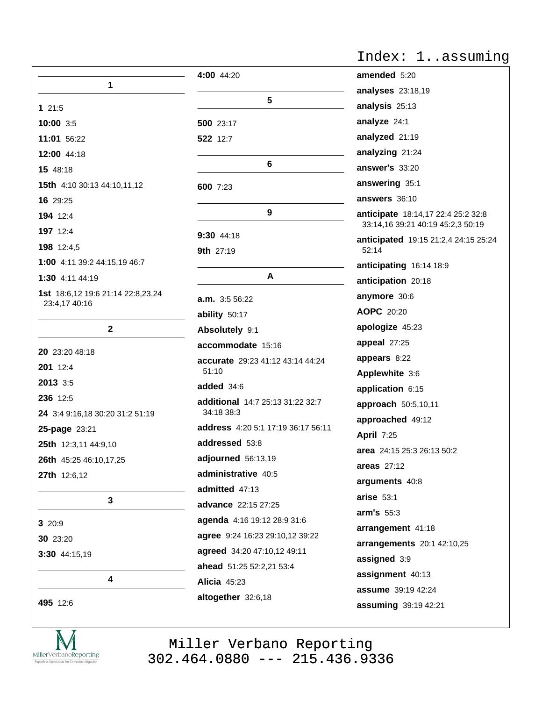| 1                                                  |
|----------------------------------------------------|
|                                                    |
| 121:5                                              |
| 10:00 3:5                                          |
| 11:01 56:22                                        |
| 12:00 44:18                                        |
| 15 48:18                                           |
| 15th 4:10 30:13 44:10,11,12                        |
| 16 29:25                                           |
| 194 12:4                                           |
| 197 12:4                                           |
| 198 12:4,5                                         |
| 1:00 4:11 39:2 44:15,19 46:7                       |
| 1:30 4:11 44:19                                    |
| 1st 18:6,12 19:6 21:14 22:8,23,24<br>23:4,17 40:16 |
| $\overline{2}$                                     |
| 20 23:20 48:18                                     |
| 201 12:4                                           |
| 2013 3:5                                           |
| 236 12:5                                           |
| 24 3:4 9:16,18 30:20 31:2 51:19                    |
| 25-page 23:21                                      |
| 2546 10.211 11.0                                   |

25th 12:3,11 44:9,10

26th 45:25 46:10,17,25

 $3\phantom{a}$ 

 $\overline{\mathbf{4}}$ 

27th 12:6,12

3 20:9

30 23:20

3:30 44:15,19

495 12:6



| 4:00 44:20                                            |  |  |  |  |
|-------------------------------------------------------|--|--|--|--|
| 5                                                     |  |  |  |  |
| 500 23:17                                             |  |  |  |  |
| 522 12:7                                              |  |  |  |  |
| 6                                                     |  |  |  |  |
| 600 7:23                                              |  |  |  |  |
| 9                                                     |  |  |  |  |
| <b>9:30</b> 44:18                                     |  |  |  |  |
| <b>9th</b> 27:19                                      |  |  |  |  |
| A                                                     |  |  |  |  |
| <b>a.m.</b> 3:5 56:22                                 |  |  |  |  |
| ability 50:17                                         |  |  |  |  |
| Absolutely 9:1                                        |  |  |  |  |
| accommodate 15:16                                     |  |  |  |  |
| accurate 29:23 41:12 43:14 44:24<br>51:10             |  |  |  |  |
| added 34:6                                            |  |  |  |  |
| <b>additional</b> 14:7 25:13 31:22 32:7<br>34:18 38:3 |  |  |  |  |
| address 4:20 5:1 17:19 36:17 56:11                    |  |  |  |  |
| addressed 53:8                                        |  |  |  |  |
| adjourned 56:13,19                                    |  |  |  |  |
| administrative 40:5                                   |  |  |  |  |
| admitted 47:13                                        |  |  |  |  |
| advance 22:15 27:25                                   |  |  |  |  |
| agenda 4:16 19:12 28:9 31:6                           |  |  |  |  |
| agree 9:24 16:23 29:10,12 39:22                       |  |  |  |  |
| agreed 34:20 47:10,12 49:11                           |  |  |  |  |
| ahead 51:25 52:2,21 53:4                              |  |  |  |  |
| <b>Alicia 45:23</b>                                   |  |  |  |  |
| altogether 32:6,18                                    |  |  |  |  |

# Index: 1..assuming

| amended 5:20                                                            |
|-------------------------------------------------------------------------|
| analyses 23:18,19                                                       |
| analysis 25:13                                                          |
| analyze 24:1                                                            |
| analyzed 21:19                                                          |
| analyzing 21:24                                                         |
| answer's 33:20                                                          |
| answering 35:1                                                          |
| answers 36:10                                                           |
| anticipate 18:14,17 22:4 25:2 32:8<br>33:14,16 39:21 40:19 45:2,3 50:19 |
| anticipated 19:15 21:2,4 24:15 25:24<br>52:14                           |
| anticipating 16:14 18:9                                                 |
| anticipation 20:18                                                      |
| anymore 30:6                                                            |
| AOPC 20:20                                                              |
| apologize 45:23                                                         |
| appeal 27:25                                                            |
| appears 8:22                                                            |
| Applewhite 3:6                                                          |
| application 6:15                                                        |
| approach 50:5,10,11                                                     |
| approached 49:12                                                        |
| <b>April 7:25</b>                                                       |
| area 24:15 25:3 26:13 50:2                                              |
| areas 27:12                                                             |
| arguments 40:8                                                          |
| arise 53:1                                                              |
| arm's 55:3                                                              |
| arrangement 41:18                                                       |
| arrangements 20:1 42:10,25                                              |
| assigned 3:9                                                            |
| assignment 40:13                                                        |
| assume 39:19 42:24                                                      |
| assuming 39:19 42:21                                                    |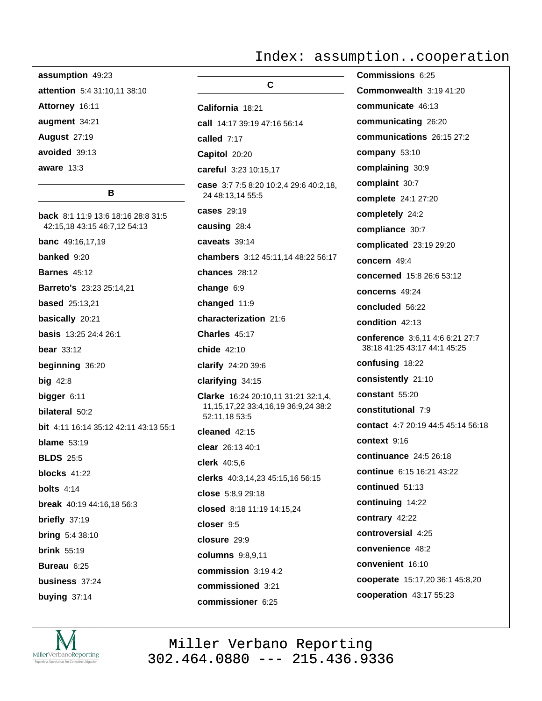Index: assumption..cooperation

assumption 49:23 attention 5:4 31:10,11 38:10 Attorney 16:11 augment 34:21 **August 27:19** avoided 39:13 aware  $13:3$ 

#### В

**back** 8:1 11:9 13:6 18:16 28:8 31:5 42:15,18 43:15 46:7,12 54:13 **banc** 49:16,17,19 banked 9:20 **Barnes 45:12** Barreto's 23:23 25:14,21 **based** 25:13,21 basically 20:21 **basis** 13:25 24:4 26:1 bear  $33:12$ beginning 36:20 big  $42:8$ bigger 6:11 bilateral 50:2 **bit** 4:11 16:14 35:12 42:11 43:13 55:1 blame  $53:19$ **BLDS** 25:5 **blocks** 41:22 bolts  $4:14$ break 40:19 44:16,18 56:3 briefly  $37:19$ **bring** 5:4 38:10 **brink** 55:19 Bureau 6:25 business 37:24 buying 37:14

 $\mathbf{C}$ California 18:21 call 14:17 39:19 47:16 56:14 called 7:17 Capitol 20:20 careful 3:23 10:15,17 case 3:7 7:5 8:20 10:2,4 29:6 40:2,18, 24 48:13,14 55:5 cases 29:19 causing 28:4 caveats 39:14 chambers 3:12 45:11.14 48:22 56:17 chances 28:12 change 6:9 changed 11:9 characterization 21:6 Charles 45:17 chide 42:10 clarify 24:20 39:6 clarifying  $34:15$ Clarke 16:24 20:10,11 31:21 32:1,4, 11, 15, 17, 22 33: 4, 16, 19 36: 9, 24 38: 2 52:11.18 53:5 cleaned  $42:15$ clear 26:13 40:1 clerk 40:5,6 clerks 40:3,14,23 45:15,16 56:15 close 5:8.9 29:18 closed 8:18 11:19 14:15,24 closer 9:5 closure 29:9 columns 9:8,9,11 commission 3:19 4:2 commissioned 3:21 commissioner 6:25

Commissions 6:25 Commonwealth 3:19 41:20 communicate 46:13 communicating 26:20 communications 26:15 27:2 company 53:10 complaining 30:9 complaint 30:7 complete 24:1 27:20 completely 24:2 compliance 30:7 complicated 23:19 29:20 concern 49:4 concerned 15:8 26:6 53:12 concerns 49:24 concluded 56:22 condition 42:13 conference 3:6.11 4:6 6:21 27:7 38:18 41:25 43:17 44:1 45:25 confusing 18:22 consistently 21:10 constant 55:20 constitutional 7:9 contact 4:7 20:19 44:5 45:14 56:18 context 9:16 continuance 24:5 26:18 continue 6:15 16:21 43:22 continued 51:13 continuing 14:22 contrary 42:22 controversial 4:25 convenience 48:2 convenient 16:10 cooperate 15:17,20 36:1 45:8,20 cooperation 43:17 55:23

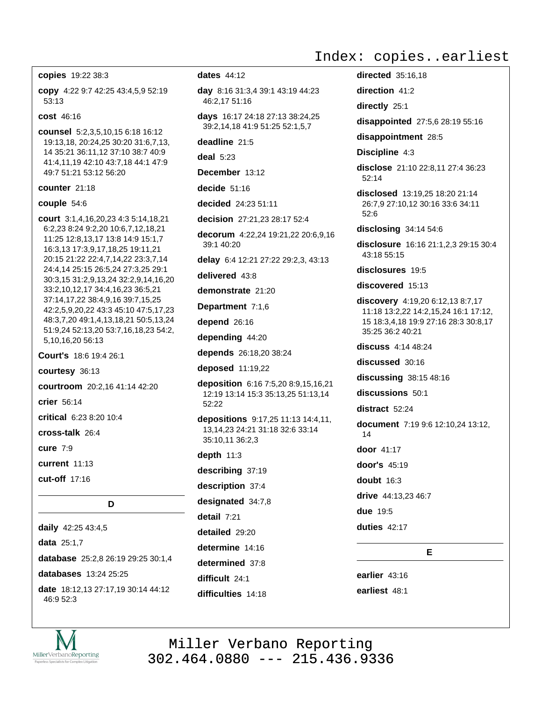## copies 19:22 38:3

copy 4:22 9:7 42:25 43:4,5,9 52:19  $53:13$ 

## cost 46:16

counsel 5:2,3,5,10,15 6:18 16:12 19:13,18, 20:24,25 30:20 31:6,7,13, 14 35:21 36:11,12 37:10 38:7 40:9 41:4,11,19 42:10 43:7,18 44:1 47:9 49:7 51:21 53:12 56:20

## counter  $21.18$

couple 54:6

court 3:1,4,16,20,23 4:3 5:14,18,21 6:2,23 8:24 9:2,20 10:6,7,12,18,21 11:25 12:8,13,17 13:8 14:9 15:1,7 16:3,13 17:3,9,17,18,25 19:11,21 20:15 21:22 22:4,7,14,22 23:3,7,14 24:4,14 25:15 26:5,24 27:3,25 29:1 30:3,15 31:2,9,13,24 32:2,9,14,16,20 33:2,10,12,17 34:4,16,23 36:5,21 37:14,17,22 38:4,9,16 39:7,15,25 42:2,5,9,20,22 43:3 45:10 47:5,17,23 48:3,7,20 49:1,4,13,18,21 50:5,13,24 51:9,24 52:13,20 53:7,16,18,23 54:2, 5,10,16,20 56:13

Court's 18:6 19:4 26:1

courtesy 36:13

courtroom 20:2.16 41:14 42:20

crier 56:14

critical 6:23 8:20 10:4

cross-talk 26:4

cure 7:9

current 11:13

cut-off 17:16

## D

daily 42:25 43:4,5 data 25:1.7 database 25:2,8 26:19 29:25 30:1,4 databases 13:24 25:25 date 18:12,13 27:17,19 30:14 44:12 46:9 52:3



## dates  $44:12$

day 8:16 31:3,4 39:1 43:19 44:23 46:2,17 51:16

days 16:17 24:18 27:13 38:24,25 39:2,14,18 41:9 51:25 52:1,5,7

deadline 21:5

deal  $5:23$ 

December 13:12

decide  $51:16$ 

decided 24:23 51:11

decision 27:21,23 28:17 52:4

decorum 4:22,24 19:21,22 20:6,9,16 39:1 40:20

delay 6:4 12:21 27:22 29:2,3, 43:13

delivered 43:8

demonstrate 21:20

Department 7:1,6

depend 26:16

depending 44:20

depends 26:18,20 38:24

deposed 11:19,22

deposition 6:16 7:5,20 8:9,15,16,21 12:19 13:14 15:3 35:13,25 51:13,14  $52:22$ 

depositions 9:17,25 11:13 14:4,11, 13,14,23 24:21 31:18 32:6 33:14 35:10.11 36:2.3

depth  $11:3$ 

describing 37:19

description 37:4

designated 34:7,8

detail  $7:21$ 

detailed 29:20

determine 14:16 determined 37:8

difficult 24:1

difficulties 14:18

# Index: copies..earliest

directed 35:16.18

direction 41:2

directly 25:1

disappointed 27:5,6 28:19 55:16

disappointment 28:5

Discipline 4:3

disclose 21:10 22:8,11 27:4 36:23  $52:14$ 

disclosed 13:19,25 18:20 21:14 26:7,9 27:10,12 30:16 33:6 34:11 52:6

disclosing 34:14 54:6

disclosure 16:16 21:1,2,3 29:15 30:4 43:18 55:15

disclosures 19:5

discovered 15:13

discovery 4:19,20 6:12,13 8:7,17 11:18 13:2,22 14:2,15,24 16:1 17:12, 15 18:3,4,18 19:9 27:16 28:3 30:8,17 35:25 36:2 40:21

discuss 4:14 48:24

discussed 30:16

discussing 38:15 48:16

discussions 50:1

distract 52:24

document 7:19 9:6 12:10,24 13:12, 14

door 41:17

door's 45:19

doubt 16:3

drive 44:13,23 46:7

**due** 19:5

duties  $42:17$ 

E.

earlier 43:16 earliest 48:1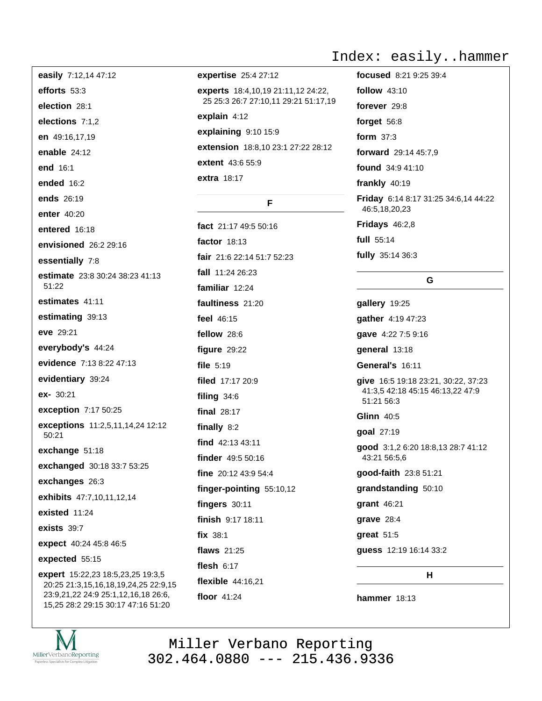easily 7:12,14 47:12 efforts  $53:3$ election 28:1 elections 7:1,2 en 49:16,17,19 enable  $24:12$ end 16:1 ended 16:2 ends 26:19 enter 40:20 entered 16:18 envisioned 26:2 29:16 essentially 7:8 estimate 23:8 30:24 38:23 41:13 51:22 estimates 41:11 estimating 39:13 eve 29:21 everybody's 44:24 evidence 7:13 8:22 47:13 evidentiary 39:24 ex- 30:21 exception 7:17 50:25 exceptions 11:2,5,11,14,24 12:12  $50:21$ exchange 51:18 exchanged 30:18 33:7 53:25 exchanges 26:3 exhibits 47:7,10,11,12,14 existed 11:24 exists 39:7 expect 40:24 45:8 46:5 expected 55:15 expert 15:22,23 18:5,23,25 19:3,5 20:25 21:3,15,16,18,19,24,25 22:9,15 23:9,21,22 24:9 25:1,12,16,18 26:6,

expertise 25:4 27:12

experts 18:4,10,19 21:11,12 24:22, 25 25:3 26:7 27:10,11 29:21 51:17,19

explain 4:12

explaining 9:10 15:9 extension 18:8,10 23:1 27:22 28:12 extent 43:6 55:9

extra 18:17

F

fact 21:17 49:5 50:16 factor 18:13 fair 21:6 22:14 51:7 52:23 fall 11:24 26:23 familiar 12:24 faultiness 21:20 feel 46:15 fellow 28:6 figure  $29:22$ file  $5:19$ filed 17:17 20:9 filing  $34:6$ final 28:17 finally  $8:2$ find 42:13 43:11 finder 49:5 50:16 fine 20:12 43:9 54:4 finger-pointing 55:10,12 fingers  $30:11$ finish 9:17 18:11 fix 38:1 **flaws** 21:25 flesh  $6:17$ **flexible** 44:16,21 floor 41:24

# Index: easily..hammer

focused 8:21 9:25 39:4 **follow** 43:10 forever 29:8 forget 56:8 form 37:3 forward 29:14 45:7.9 found 34:9 41:10 frankly  $40:19$ Friday 6:14 8:17 31:25 34:6,14 44:22 46:5,18,20,23 **Fridays**  $46:2,8$ full 55:14 fully 35:14 36:3 G gallery 19:25 gather 4:19 47:23 gave 4:22 7:5 9:16 qeneral 13:18 General's 16:11 give 16:5 19:18 23:21, 30:22, 37:23 41:3,5 42:18 45:15 46:13,22 47:9 51:21 56:3 **Glinn 40:5** goal 27:19 good 3:1,2 6:20 18:8,13 28:7 41:12 43:21 56:5,6

good-faith 23:8 51:21

grandstanding 50:10

**grant** 46:21

grave  $28:4$ 

great  $51:5$ 

guess 12:19 16:14 33:2

H.

hammer  $18:13$ 



15,25 28:2 29:15 30:17 47:16 51:20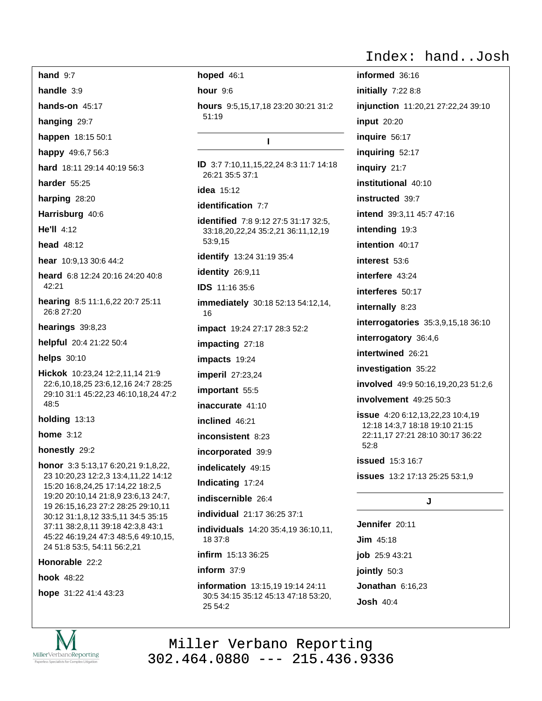## hand  $9:7$

handle  $3:9$ 

hands-on  $45:17$ 

hanging 29:7

happen 18:15 50:1

happy 49:6,7 56:3

hard 18:11 29:14 40:19 56:3

harder 55:25

harping 28:20

Harrisburg 40:6

He'll 4:12

head 48:12

hear 10:9.13 30:6 44:2

heard 6:8 12:24 20:16 24:20 40:8 42:21

hearing 8:5 11:1,6,22 20:7 25:11 26:8 27:20

hearings  $39:8.23$ 

helpful 20:4 21:22 50:4

helps 30:10

Hickok 10:23,24 12:2,11,14 21:9 22:6,10,18,25 23:6,12,16 24:7 28:25 29:10 31:1 45:22,23 46:10,18,24 47:2 48:5

holding 13:13

home  $3:12$ 

honestly 29:2

honor 3:3 5:13,17 6:20,21 9:1,8,22, 23 10:20,23 12:2,3 13:4,11,22 14:12 15:20 16:8,24,25 17:14,22 18:2,5 19:20 20:10,14 21:8,9 23:6,13 24:7, 19 26:15,16,23 27:2 28:25 29:10,11 30:12 31:1,8,12 33:5,11 34:5 35:15 37:11 38:2,8,11 39:18 42:3,8 43:1 45:22 46:19,24 47:3 48:5,6 49:10,15, 24 51:8 53:5, 54:11 56:2.21

Honorable 22.2

hook 48:22

hope 31:22 41:4 43:23

hoped 46:1

hour  $9:6$ 

hours 9:5,15,17,18 23:20 30:21 31:2 51:19

#### $\mathbf{I}$

ID 3:7 7:10,11,15,22,24 8:3 11:7 14:18 26:21 35:5 37:1 **idea** 15:12 identification 7:7 **identified** 7:8 9:12 27:5 31:17 32:5. 33:18,20,22,24 35:2,21 36:11,12,19 53:9.15 identify 13:24 31:19 35:4 identity 26:9,11 IDS 11:16 35:6 **immediately** 30:18 52:13 54:12,14, 16 impact 19:24 27:17 28:3 52:2 impacting 27:18 impacts 19:24 imperil 27:23,24 important 55:5 inaccurate 41:10 inclined 46:21 inconsistent 8:23 incorporated 39:9 indelicately 49:15 Indicating 17:24 indiscernible 26:4 individual 21:17 36:25 37:1 individuals 14:20 35:4,19 36:10,11, 18 37:8 infirm 15:13 36:25 inform  $37:9$ **information** 13:15.19 19:14 24:11 30:5 34:15 35:12 45:13 47:18 53:20,

## Index: hand..Josh

informed 36:16 initially  $7:228:8$ injunction 11:20,21 27:22,24 39:10 input 20:20 inquire 56:17 inquiring 52:17 inquiry 21:7 institutional 40:10 instructed 39:7 intend 39:3,11 45:7 47:16 intending 19:3 intention 40:17 interest 53:6 interfere 43:24 interferes 50:17 internally 8:23 interrogatories 35:3,9,15,18 36:10 interrogatory 36:4,6 intertwined 26:21 investigation 35:22 involved 49:9 50:16,19,20,23 51:2,6 involvement 49:25 50:3 **issue** 4:20 6:12,13,22,23 10:4,19 12:18 14:3.7 18:18 19:10 21:15 22:11.17 27:21 28:10 30:17 36:22  $52:8$ **issued** 15:3 16:7 **issues** 13:2 17:13 25:25 53:1,9  $\mathbf{L}$ Jennifer 20:11

 $Jim$  45:18 job 25:9 43:21 jointly 50:3 Jonathan  $6:16,23$ **Josh 40:4** 



Miller Verbano Reporting  $302.464.0880$  --- 215.436.9336

25 54:2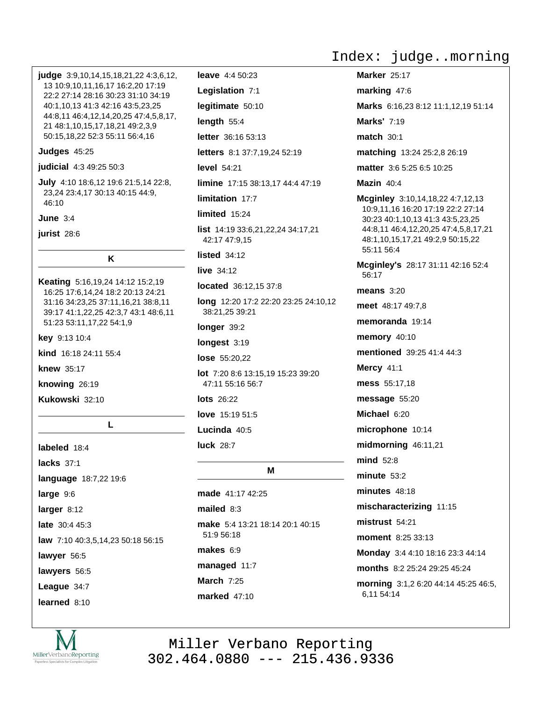| judge 3:9,10,14,15,18,21,22 4:3,6,12, |
|---------------------------------------|
| 13 10:9,10,11,16,17 16:2,20 17:19     |
| 22:2 27:14 28:16 30:23 31:10 34:19    |
| 40:1,10,13 41:3 42:16 43:5,23,25      |
| 44:8,11 46:4,12,14,20,25 47:4,5,8,17, |
| 21 48:1,10,15,17,18,21 49:2,3,9       |
| 50:15,18,22 52:3 55:11 56:4,16        |

## Judges 45:25

judicial 4:3 49:25 50:3

July 4:10 18:6,12 19:6 21:5,14 22:8, 23,24 23:4,17 30:13 40:15 44:9, 46:10

June  $3:4$ 

jurist 28:6

Κ

Keating 5:16,19,24 14:12 15:2,19 16:25 17:6,14,24 18:2 20:13 24:21 31:16 34:23,25 37:11,16,21 38:8,11 39:17 41:1,22,25 42:3,7 43:1 48:6,11 51:23 53:11,17,22 54:1,9

key 9:13 10:4

kind 16:18 24:11 55:4

knew 35:17

knowing 26:19

Kukowski 32:10

L

labeled 18:4 lacks  $37:1$ language 18:7,22 19:6 large 9:6 larger 8:12 **late** 30:4 45:3 law 7:10 40:3,5,14,23 50:18 56:15 lawyer 56:5 lawyers 56:5 League 34:7 learned 8:10

leave 4:4 50:23 Legislation 7:1 legitimate 50:10 length 55:4 letter 36:16 53:13 letters 8:1 37:7.19.24 52:19 level 54:21 limine 17:15 38:13,17 44:4 47:19 limitation 17:7 limited  $15:24$ list 14:19 33:6,21,22,24 34:17,21 42:17 47:9.15 listed  $34:12$ live 34:12 located 36:12,15 37:8 long 12:20 17:2 22:20 23:25 24:10,12 38:21,25 39:21 longer 39:2 longest 3:19 lose 55:20.22 lot 7:20 8:6 13:15,19 15:23 39:20 47:11 55:16 56:7 **lots** 26:22 love 15:19 51:5 Lucinda 40:5 luck  $28.7$ М made 41:17 42:25 mailed  $8:3$ 

Index: judge..morning

Marker 25:17 marking  $47:6$ Marks 6:16,23 8:12 11:1,12,19 51:14 **Marks' 7:19 match 30:1** matching 13:24 25:2,8 26:19 matter 3:6 5:25 6:5 10:25 Mazin 40:4 Mcginley 3:10,14,18,22 4:7,12,13 10:9,11,16 16:20 17:19 22:2 27:14 30:23 40:1,10,13 41:3 43:5,23,25 44:8,11 46:4,12,20,25 47:4,5,8,17,21 48:1,10,15,17,21 49:2,9 50:15,22 55:11 56:4 Mcginley's 28:17 31:11 42:16 52:4 56:17 means  $3:20$ meet 48:17 49:7.8 memoranda 19:14 memory 40:10 mentioned 39:25 41:4 44:3 Mercy 41:1 mess 55:17,18 message 55:20 Michael 6:20 microphone 10:14 midmorning 46:11,21  $mid 52:8$ minute 53:2 minutes 48:18 mischaracterizing 11:15 mistrust 54:21 moment 8:25 33:13 Monday 3:4 4:10 18:16 23:3 44:14 months 8:2 25:24 29:25 45:24 morning 3:1,2 6:20 44:14 45:25 46:5, 6,11 54:14



Miller Verbano Reporting  $302.464.0880$  --- 215.436.9336

make 5:4 13:21 18:14 20:1 40:15

51:9 56:18

makes  $6:9$ 

**March 7:25** 

managed 11:7

marked  $47:10$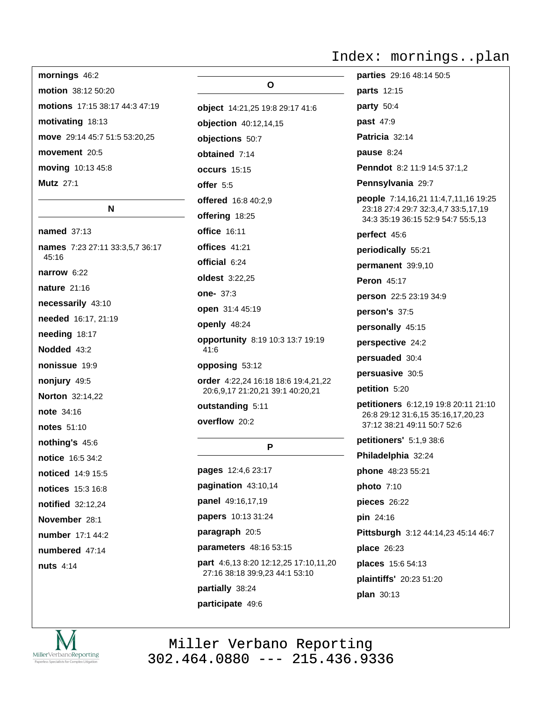Index: mornings..plan

|  | mornings 46:2 |
|--|---------------|
|  |               |
|  |               |
|  |               |

motion 38:12 50:20 motions 17:15 38:17 44:3 47:19 motivating 18:13 move 29:14 45:7 51:5 53:20,25 movement 20:5 moving 10:13 45:8 **Mutz** 27:1

## N

**named** 37:13 names 7:23 27:11 33:3,5,7 36:17 45:16 narrow  $6:22$ nature 21:16 necessarily 43:10 needed 16:17, 21:19 needing 18:17 Nodded 43:2 nonissue 19:9 nonjury 49:5 **Norton 32:14.22** note 34:16 **notes** 51:10 nothing's 45:6 notice 16:5 34:2 noticed 14:9 15:5 notices 15:3 16:8 notified 32:12.24 November 28:1 number 17:1 44:2 numbered 47:14 **nuts** 4:14

## O

object 14:21,25 19:8 29:17 41:6 objection 40:12,14,15 objections 50:7 obtained 7:14 occurs 15:15 offer 5:5 offered 16:8 40:2,9 offering 18:25 **office** 16:11 offices 41:21 official 6:24 oldest 3:22,25 one- 37:3 open 31:4 45:19 openly 48:24 opportunity 8:19 10:3 13:7 19:19 41:6 opposing 53:12 order 4:22,24 16:18 18:6 19:4,21,22 20:6,9,17 21:20,21 39:1 40:20,21 outstanding 5:11 overflow 20:2 P

pages 12:4,6 23:17 pagination 43:10,14 panel 49:16,17,19 papers 10:13 31:24 paragraph 20:5 parameters 48:16 53:15 **part** 4:6,13 8:20 12:12,25 17:10,11,20 27:16 38:18 39:9,23 44:1 53:10 partially 38:24 participate 49:6

# parties 29:16 48:14 50:5 parts 12:15 party 50:4 past 47:9 Patricia 32:14 pause 8:24 Penndot 8:2 11:9 14:5 37:1.2 Pennsylvania 29:7 people 7:14,16,21 11:4,7,11,16 19:25 23:18 27:4 29:7 32:3,4,7 33:5,17,19 34:3 35:19 36:15 52:9 54:7 55:5,13 perfect 45:6 periodically 55:21 permanent 39:9,10 **Peron 45:17** person 22:5 23:19 34:9 person's 37:5 personally 45:15 perspective 24:2 persuaded 30:4 persuasive 30:5 petition 5:20 petitioners 6:12,19 19:8 20:11 21:10 26:8 29:12 31:6,15 35:16,17,20,23 37:12 38:21 49:11 50:7 52:6 petitioners' 5:1,9 38:6 Philadelphia 32:24 phone 48:23 55:21  $photo$  7:10 pieces 26:22 **pin** 24:16 Pittsburgh 3:12 44:14,23 45:14 46:7 **place** 26:23 places 15:6 54:13 plaintiffs' 20:23 51:20

plan 30:13

MillerVerbanoReporting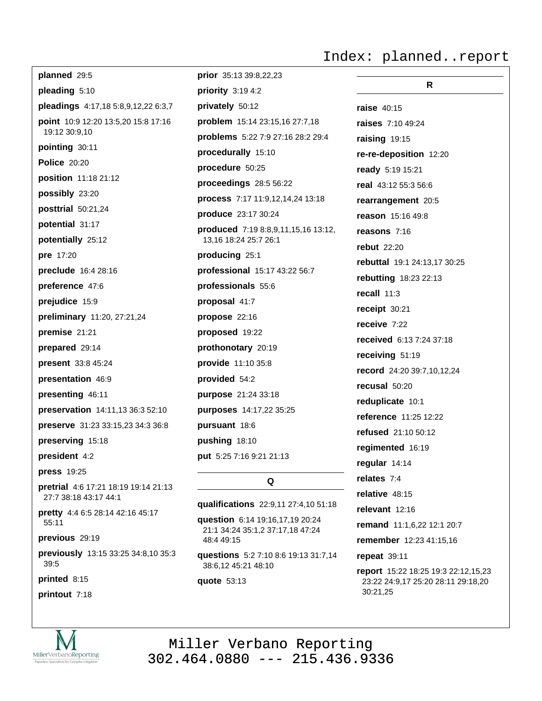planned 29:5 pleading 5:10 pleadings 4:17,18 5:8,9,12,22 6:3,7 point 10:9 12:20 13:5,20 15:8 17:16 19:12 30:9,10 pointing 30:11 **Police 20:20** position 11:18 21:12 possibly 23:20 posttrial 50:21,24 potential 31:17 potentially 25:12 pre 17:20 **preclude** 16:4 28:16 preference 47:6 prejudice 15:9 preliminary 11:20, 27:21,24 premise 21:21 prepared 29:14 present 33:8 45:24 presentation 46:9 presenting 46:11 preservation 14:11,13 36:3 52:10 **preserve** 31:23 33:15.23 34:3 36:8 preserving 15:18 president 4:2 press 19:25 pretrial 4:6 17:21 18:19 19:14 21:13 27:7 38:18 43:17 44:1

pretty 4:4 6:5 28:14 42:16 45:17 55:11

previous 29:19

previously 13:15 33:25 34:8,10 35:3 39:5

printed 8:15

printout 7:18

MillerVerbanoReporting



Q

question 6:14 19:16,17,19 20:24

21:1 34:24 35:1,2 37:17,18 47:24

put 5:25 7:16 9:21 21:13

48:4 49:15

quote 53:13

38:6,12 45:21 48:10

reason 15:16 49:8 reasons 7:16 rebut 22:20 rebuttal 19:1 24:13,17 30:25 rebutting 18:23 22:13 recall 11:3 receipt 30:21 receive  $7:22$ received 6:13 7:24 37:18 receiving 51:19 record 24:20 39:7,10,12,24 recusal 50:20 reduplicate 10:1 reference 11:25 12:22 refused 21:10 50:12 regimented 16:19 regular 14:14 relates 7:4 relative 48:15 qualifications 22:9,11 27:4,10 51:18 relevant  $12:16$ remand 11:1,6,22 12:1 20:7 remember 12:23 41:15,16 questions 5:2 7:10 8:6 19:13 31:7,14 repeat 39:11 report 15:22 18:25 19:3 22:12,15,23 23:22 24:9,17 25:20 28:11 29:18,20 30:21,25

Index: planned..report

raise  $40:15$ 

raises 7:10 49:24

ready 5:19 15:21

real 43:12 55:3 56:6

rearrangement 20:5

re-re-deposition 12:20

raising 19:15

R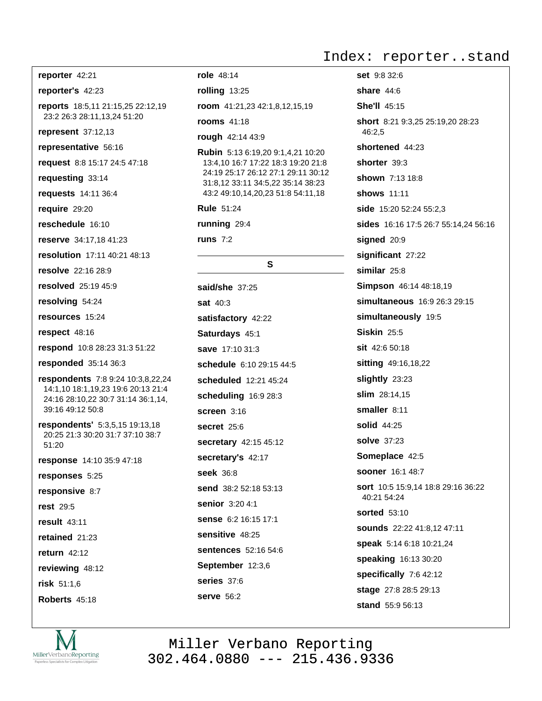Index: reporter..stand

reporter 42:21 reporter's 42:23 reports 18:5,11 21:15,25 22:12,19 23:2 26:3 28:11,13,24 51:20 represent 37:12,13 representative 56:16 request 8:8 15:17 24:5 47:18 requesting 33:14 requests 14:11 36:4 require 29:20 reschedule 16:10 reserve 34:17,18 41:23 resolution 17:11 40:21 48:13 resolve 22:16 28:9 resolved 25:19 45:9 resolving 54:24 resources 15:24 respect 48:16 respond 10:8 28:23 31:3 51:22 responded 35:14 36:3 respondents 7:8 9:24 10:3,8,22,24 14:1,10 18:1,19,23 19:6 20:13 21:4 24:16 28:10,22 30:7 31:14 36:1,14, 39:16 49:12 50:8 respondents' 5:3,5,15 19:13,18 20:25 21:3 30:20 31:7 37:10 38:7  $51:20$ response 14:10 35:9 47:18 responses 5:25 responsive 8:7 rest 29:5 result  $43:11$ retained 21:23 return  $42:12$ reviewing 48:12 risk 51:1,6 Roberts 45:18



rolling  $13:25$ room 41:21,23 42:1,8,12,15,19 **rooms** 41:18 rough 42:14 43:9 **Rubin** 5:13 6:19.20 9:1.4.21 10:20 13:4,10 16:7 17:22 18:3 19:20 21:8 24:19 25:17 26:12 27:1 29:11 30:12 31:8,12 33:11 34:5,22 35:14 38:23 43:2 49:10,14,20,23 51:8 54:11,18 **Rule 51:24** running 29:4 runs  $7:2$ S said/she 37:25 **sat 40:3** satisfactory 42:22 Saturdays 45:1 save 17:10 31:3 schedule 6:10 29:15 44:5 scheduled 12:21 45:24 scheduling 16:9 28:3 screen 3:16 secret 25:6 secretary 42:15 45:12 secretary's 42:17 **seek** 36:8 send 38:2 52:18 53:13 senior  $3:20.4.1$ sense 6:2 16:15 17:1 sensitive 48:25 sentences 52:16 54:6 September 12:3,6

role 48:14

series 37:6 serve 56:2

set 9:8.32:6 share  $44:6$ **She'll 45:15** short 8:21 9:3,25 25:19,20 28:23 46:2,5 shortened 44:23 shorter 39:3 shown 7:13 18:8 **shows** 11:11 side 15:20 52:24 55:2,3 sides 16:16 17:5 26:7 55:14,24 56:16 signed 20:9 significant 27:22 similar  $25:8$ Simpson 46:14 48:18,19 simultaneous 16:9 26:3 29:15 simultaneously 19:5 **Siskin 25:5** sit 42:6 50:18 sitting 49:16,18,22 slightly 23:23 slim 28:14,15 smaller 8:11 solid 44:25 **solve** 37:23 Someplace 42:5 sooner 16:1 48:7 sort 10:5 15:9,14 18:8 29:16 36:22 40:21 54:24 **sorted** 53:10 **sounds** 22:22 41:8.12 47:11 speak 5:14 6:18 10:21,24 speaking 16:13 30:20 specifically 7:6 42:12 stage 27:8 28:5 29:13 stand 55:9 56:13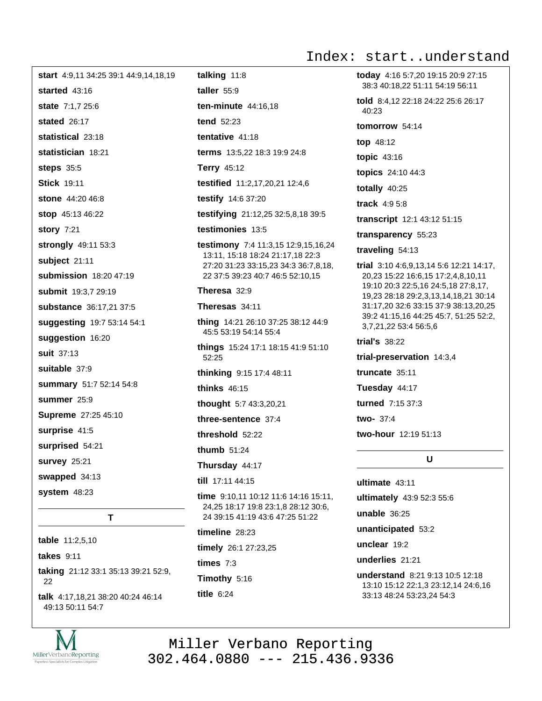Index: start..understand

start 4:9,11 34:25 39:1 44:9,14,18,19 started 43:16 state 7:1.7 25:6 stated 26:17 statistical 23:18 statistician 18:21 steps  $35:5$ **Stick 19:11** stone 44:20 46:8 stop 45:13 46:22 **story 7:21** strongly 49:11 53:3 subject 21:11 submission 18:20 47:19 submit 19:3,7 29:19 substance 36:17,21 37:5 suggesting 19:7 53:14 54:1 suggestion 16:20 **suit** 37:13 suitable 37:9 summary 51:7 52:14 54:8 summer 25:9 Supreme 27:25 45:10 surprise 41:5 surprised 54:21 **survey 25:21** swapped 34:13 system 48:23

table 11:2,5,10 takes 9:11 taking 21:12 33:1 35:13 39:21 52:9, 22 talk 4:17,18,21 38:20 40:24 46:14 49:13 50:11 54:7

 $\mathbf{T}$ 



talking 11:8 taller  $55:9$ ten-minute  $44:16.18$ tend 52:23 tentative 41:18 terms 13:5.22 18:3 19:9 24:8 **Terry 45:12** testified 11:2,17,20,21 12:4,6 testify 14:6 37:20 testifying 21:12,25 32:5,8,18 39:5 testimonies 13:5 testimony 7:4 11:3,15 12:9,15,16,24 13:11, 15:18 18:24 21:17,18 22:3 27:20 31:23 33:15,23 34:3 36:7,8,18, 22 37:5 39:23 40:7 46:5 52:10,15

## Theresa 32:9

Theresas 34:11

thing 14:21 26:10 37:25 38:12 44:9 45:5 53:19 54:14 55:4

things 15:24 17:1 18:15 41:9 51:10 52:25 thinking 9:15 17:4 48:11 thinks 46:15

thought 5:7 43:3,20,21

three-sentence 37:4

threshold 52:22

thumb  $51:24$ 

Thursday 44:17

till 17:11 44:15

time 9:10,11 10:12 11:6 14:16 15:11, 24,25 18:17 19:8 23:1,8 28:12 30:6, 24 39:15 41:19 43:6 47:25 51:22

timeline  $28:23$ 

timely 26:1 27:23,25

times  $7:3$ 

Timothy 5:16

title  $6:24$ 

today 4:16 5:7,20 19:15 20:9 27:15 38:3 40:18,22 51:11 54:19 56:11

told 8:4.12 22:18 24:22 25:6 26:17 40:23

tomorrow 54:14

top 48:12

topic 43:16

topics 24:10 44:3

totally 40:25

track  $4:95:8$ 

transcript 12:1 43:12 51:15

transparency 55:23

traveling  $54:13$ 

trial 3:10 4:6, 9, 13, 14 5:6 12:21 14:17, 20,23 15:22 16:6,15 17:2,4,8,10,11 19:10 20:3 22:5,16 24:5,18 27:8,17, 19,23 28:18 29:2,3,13,14,18,21 30:14 31:17.20 32:6 33:15 37:9 38:13.20.25 39:2 41:15,16 44:25 45:7, 51:25 52:2, 3,7,21,22 53:4 56:5,6

trial's 38:22

trial-preservation 14:3,4

truncate  $35:11$ 

Tuesday 44:17

turned 7:15 37:3

two- $37:4$ 

two-hour 12:19 51:13

## $\mathbf{U}$

ultimate 43:11

ultimately 43:9 52:3 55:6

unable  $36:25$ 

unanticipated 53:2

unclear 19:2

underlies 21:21

understand 8:21 9:13 10:5 12:18 13:10 15:12 22:1,3 23:12,14 24:6,16 33:13 48:24 53:23,24 54:3